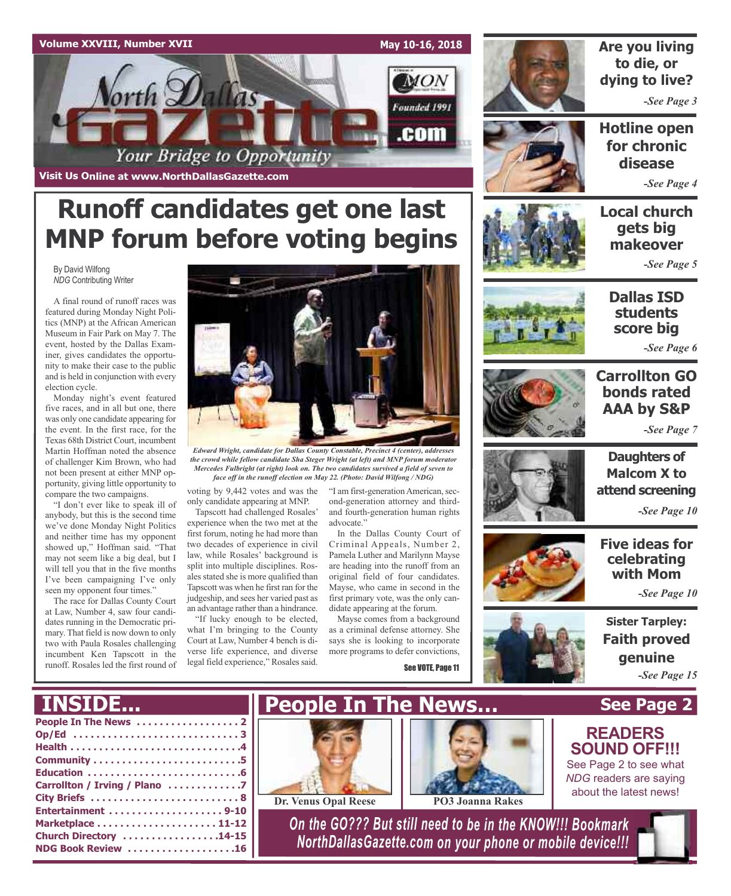

**Runoff candidates get one last**



### **Are you living to die, or dying to live?**

*-See Page 3*

**Hotline open for chronic disease**

*-See Page 4*

### **Local church gets big makeover**

*-See Page 5*

**MNP forum before voting begins**

By David Wilfong *NDG* Contributing Writer

A final round of runoff races was featured during Monday Night Politics (MNP) at the African American Museum in Fair Park on May 7. The event, hosted by the Dallas Examiner, gives candidates the opportunity to make their case to the public and is held in conjunction with every election cycle.

Monday night's event featured five races, and in all but one, there was only one candidate appearing for the event. In the first race, for the Texas 68th District Court, incumbent Martin Hoffman noted the absence of challenger Kim Brown, who had not been present at either MNP opportunity, giving little opportunity to compare the two campaigns.

"I don't ever like to speak ill of anybody, but this is the second time we've done Monday Night Politics and neither time has my opponent showed up," Hoffman said. "That may not seem like a big deal, but I will tell you that in the five months I've been campaigning I've only seen my opponent four times."

The race for Dallas County Court at Law, Number 4, saw four candidates running in the Democratic primary. That field is now down to only two with Paula Rosales challenging incumbent Ken Tapscott in the runoff. Rosales led the first round of

**INSIDE...**

**NDG Book Review . . . . . . . . . . . . . . . . . . .16**



*Edward Wright, candidate for Dallas County Constable, Precinct 4 (center), addresses the crowd while fellow candidate Sha Steger Wright (at left) and MNP forum moderator Mercedes Fulbright (at right) look on. The two candidates survived a field of seven to face off in the runoff election on May 22. (Photo: David Wilfong / NDG)*

voting by 9,442 votes and was the only candidate appearing at MNP.

Tapscott had challenged Rosales' experience when the two met at the first forum, noting he had more than two decades of experience in civil law, while Rosales' background is split into multiple disciplines. Rosales stated she is more qualified than Tapscott was when he first ran for the judgeship, and sees her varied past as an advantage rather than a hindrance.

"If lucky enough to be elected, what I'm bringing to the County Court at Law, Number 4 bench is diverse life experience, and diverse legal field experience," Rosales said.

"I am first-generation American, second-generation attorney and thirdand fourth-generation human rights advocate."

In the Dallas County Court of Criminal Appeals, Number 2, Pamela Luther and Marilynn Mayse are heading into the runoff from an original field of four candidates. Mayse, who came in second in the first primary vote, was the only candidate appearing at the forum.

Mayse comes from a background as a criminal defense attorney. She says she is looking to incorporate more programs to defer convictions,

See VOTE, Page 11



**Dallas ISD students score big**

*-See Page 6*



### **Carrollton GO bonds rated AAA by S&P**

*-See Page 7*



**Daughters of Malcom X to attend screening**

*-See Page 10*

**Five ideas for celebrating with Mom**

*-See Page 10*

**Sister Tarpley: Faith proved genuine** *-See Page 15*

#### **People In The News . . . . . . . . . . . . . . . . . . 2 Op/Ed . . . . . . . . . . . . . . . . . . . . . . . . . . . . . 3 Health . . . . . . . . . . . . . . . . . . . . . . . . . . . . . .4 Community . . . . . . . . . . . . . . . . . . . . . . . . . .5 Education . . . . . . . . . . . . . . . . . . . . . . . . . . .6 Carrollton / Irving / Plano . . . . . . . . . . . . .7 City Briefs . . . . . . . . . . . . . . . . . . . . . . . . . . 8 Entertainment . . . . . . . . . . . . . . . . . . . . 9-10 Marketplace . . . . . . . . . . . . . . . . . . . . . 11-12 See Page 2 People In The News… Dr. Venus Opal Reese PO3 Joanna Rakes READERS SOUND OFF!!!** See Page 2 to see what *NDG* readers are saying about the latest news!



**Church Directory . . . . . . . . . . . . . . . . .14-15** *On the GO??? But still need to be in the KNOW!!! Bookmark NorthDallasGazette.com on your phone or mobile device!!!*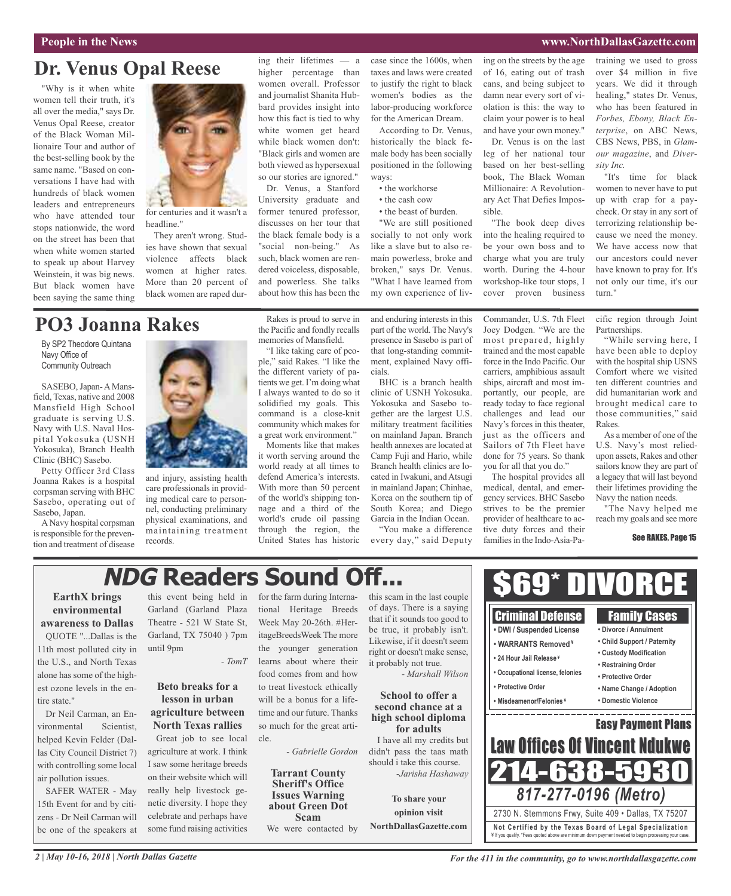### **People in the News www.NorthDallasGazette.com**

### **Dr. Venus Opal Reese**

"Why is it when white women tell their truth, it's all over the media," says Dr. Venus Opal Reese, creator of the Black Woman Millionaire Tour and author of the best-selling book by the same name. "Based on conversations I have had with hundreds of black women leaders and entrepreneurs who have attended tour stops nationwide, the word on the street has been that when white women started to speak up about Harvey Weinstein, it was big news. But black women have been saying the same thing



for centuries and it wasn't a headline."

They aren't wrong. Studies have shown that sexual violence affects black women at higher rates. More than 20 percent of black women are raped dur-

### ing their lifetimes — a higher percentage than women overall. Professor and journalist Shanita Hubbard provides insight into how this fact is tied to why white women get heard while black women don't: "Black girls and women are both viewed as hypersexual so our stories are ignored."

Dr. Venus, a Stanford University graduate and former tenured professor, discusses on her tour that the black female body is a "social non-being." As such, black women are rendered voiceless, disposable, and powerless. She talks about how this has been the

case since the 1600s, when taxes and laws were created to justify the right to black women's bodies as the labor-producing workforce for the American Dream.

According to Dr. Venus, historically the black female body has been socially positioned in the following ways:

- the workhorse
- the cash cow
- the beast of burden.

"We are still positioned socially to not only work like a slave but to also remain powerless, broke and broken," says Dr. Venus. "What I have learned from my own experience of living on the streets by the age of 16, eating out of trash cans, and being subject to damn near every sort of violation is this: the way to claim your power is to heal and have your own money."

Dr. Venus is on the last leg of her national tour based on her best-selling book, The Black Woman Millionaire: A Revolutionary Act That Defies Impossible.

"The book deep dives into the healing required to be your own boss and to charge what you are truly worth. During the 4-hour workshop-like tour stops, I cover proven business

Commander, U.S. 7th Fleet Joey Dodgen. "We are the training we used to gross over \$4 million in five years. We did it through healing," states Dr. Venus, who has been featured in *Forbes, Ebony, Black Enterprise*, on ABC News, CBS News, PBS, in *Glamour magazine*, and *Diversity Inc.*

"It's time for black women to never have to put up with crap for a paycheck. Or stay in any sort of terrorizing relationship because we need the money. We have access now that our ancestors could never have known to pray for. It's not only our time, it's our turn."

#### cific region through Joint **Partnerships.**

"While serving here, I have been able to deploy with the hospital ship USNS Comfort where we visited ten different countries and did humanitarian work and brought medical care to those communities," said Rakes.

As a member of one of the U.S. Navy's most reliedupon assets, Rakes and other sailors know they are part of a legacy that will last beyond their lifetimes providing the Navy the nation needs.

"The Navy helped me reach my goals and see more

#### See RAKES, Page 15

### **PO3 Joanna Rakes**

By SP2 Theodore Quintana Navy Office of Community Outreach

SASEBO, Japan-A Mansfield, Texas, native and 2008 Mansfield High School graduate is serving U.S. Navy with U.S. Naval Hospital Yokosuka (USNH Yokosuka), Branch Health Clinic (BHC) Sasebo.

Petty Officer 3rd Class Joanna Rakes is a hospital corpsman serving with BHC Sasebo, operating out of Sasebo, Japan.

ANavy hospital corpsman is responsible for the prevention and treatment of disease



and injury, assisting health care professionals in providing medical care to personnel, conducting preliminary physical examinations, and maintaining treatment records.

Rakes is proud to serve in the Pacific and fondly recalls memories of Mansfield.

"I like taking care of people," said Rakes. "I like the the different variety of patients we get. I'm doing what I always wanted to do so it solidified my goals. This command is a close-knit community which makes for a great work environment."

Moments like that makes it worth serving around the world ready at all times to defend America's interests. With more than 50 percent of the world's shipping tonnage and a third of the world's crude oil passing through the region, the United States has historic and enduring interests in this part of the world. The Navy's presence in Sasebo is part of that long-standing commitment, explained Navy officials.

BHC is a branch health clinic of USNH Yokosuka. Yokosuka and Sasebo together are the largest U.S. military treatment facilities on mainland Japan. Branch health annexes are located at Camp Fuji and Hario, while Branch health clinics are located in Iwakuni, andAtsugi in mainland Japan; Chinhae, Korea on the southern tip of South Korea; and Diego Garcia in the Indian Ocean.

"You make a difference every day," said Deputy most prepared, highly trained and the most capable force in the Indo Pacific. Our carriers, amphibious assault ships, aircraft and most importantly, our people, are ready today to face regional challenges and lead our Navy's forces in this theater, just as the officers and Sailors of 7th Fleet have done for 75 years. So thank you for all that you do."

The hospital provides all medical, dental, and emergency services. BHC Sasebo strives to be the premier provider of healthcare to active duty forces and their families in the Indo-Asia-Pa-

## **NDG Readers Sound Off...**

### **EarthX brings environmental awareness to Dallas**

QUOTE "...Dallas is the 11th most polluted city in the U.S., and North Texas alone has some of the highest ozone levels in the entire state."

Dr Neil Carman, an Environmental Scientist, helped Kevin Felder (Dallas City Council District 7) with controlling some local air pollution issues.

SAFER WATER - May 15th Event for and by citizens - Dr Neil Carman will be one of the speakers at this event being held in Garland (Garland Plaza Theatre - 521 W State St, Garland, TX 75040 ) 7pm until 9pm

### **Beto breaks for a lesson in urban agriculture between North Texas rallies** Great job to see local agriculture at work. I think I saw some heritage breeds on their website which will

really help livestock genetic diversity. I hope they celebrate and perhaps have some fund raising activities

*- TomT* learns about where their for the farm during International Heritage Breeds Week May 20-26th. #HeritageBreedsWeek The more the younger generation food comes from and how to treat livestock ethically will be a bonus for a lifetime and our future. Thanks so much for the great article.

*- Gabrielle Gordon*

**Tarrant County Sheriff's Office Issues Warning about Green Dot Scam**

We were contacted by

this scam in the last couple of days. There is a saying that if it sounds too good to be true, it probably isn't. Likewise, if it doesn't seem right or doesn't make sense, it probably not true.

### **second chance at a high school diploma for adults**

didn't pass the taas math should i take this course. *-Jarisha Hashaway*

**To share your opinion visit NorthDallasGazette.com**



\$69\* DIVORCE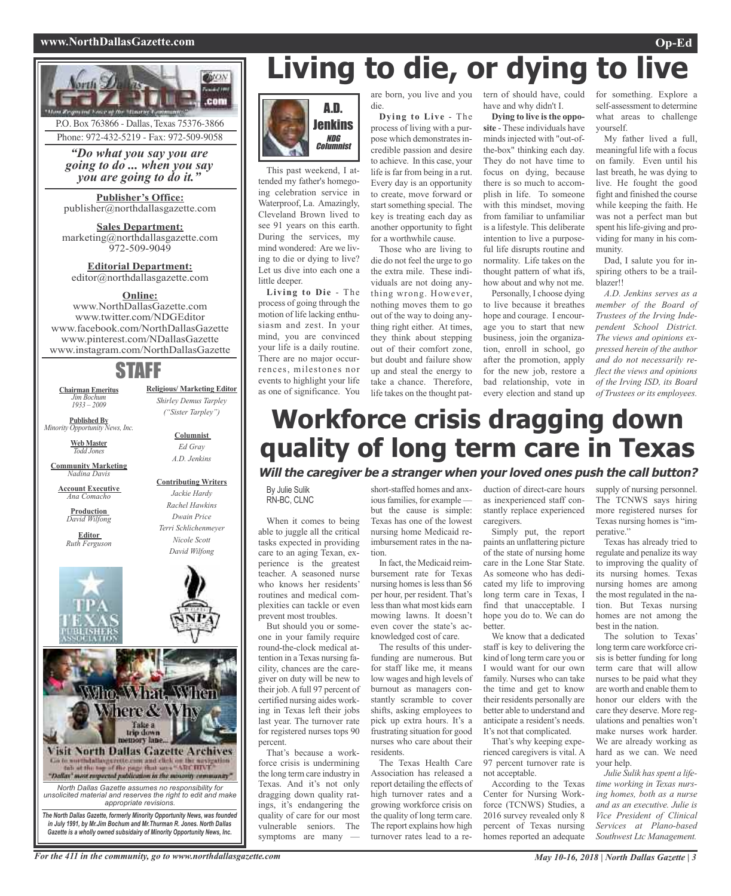### **www.NorthDallasGazette.com Op-Ed**



P.O. Box 763866 - Dallas, Texas 75376-3866 Phone: 972-432-5219 - Fax: 972-509-9058

*"Do what you say you are going to do ... when you say you are going to do it."*

**Publisher's Office:** publisher@northdallasgazette.com

**Sales Department:** marketing@northdallasgazette.com 972-509-9049

**Editorial Department:** editor@northdallasgazette.com

### **Online:**

www.NorthDallasGazette.com www.twitter.com/NDGEditor www.facebook.com/NorthDallasGazette www.pinterest.com/NDallasGazette www.instagram.com/NorthDallasGazette

### STAFF

**Chairman Emeritus** *Jim Bochum 1933 – 2009*

**Published By** *Minority Opportunity News, Inc.*

> **Web Master** *Todd Jones*

**Community Marketing** *Nadina Davis*

**Account Executive** *Ana Comacho*

**Production** *David Wilfong*

**Editor** *Ruth Ferguson*





**Religious/ Marketing Editor** *Shirley Demus Tarpley ("Sister Tarpley")*

> **Columnist** *Ed Gray A.D. Jenkins*

**Contributing Writers**



# **Living to die, or dying to live**



This past weekend, I attended my father's homegoing celebration service in Waterproof, La. Amazingly, Cleveland Brown lived to see 91 years on this earth. During the services, my mind wondered: Are we living to die or dying to live? Let us dive into each one a little deeper.

**Living to Die** - The process of going through the motion of life lacking enthusiasm and zest. In your mind, you are convinced your life is a daily routine. There are no major occurrences, milestones nor events to highlight your life as one of significance. You

die.

**Dying to Live** - The process of living with a purpose which demonstrates incredible passion and desire to achieve. In this case, your life is far from being in a rut. Every day is an opportunity to create, move forward or start something special. The key is treating each day as another opportunity to fight for a worthwhile cause.

Those who are living to die do not feel the urge to go the extra mile. These individuals are not doing anything wrong. However, nothing moves them to go out of the way to doing anything right either. At times, they think about stepping out of their comfort zone, but doubt and failure show up and steal the energy to take a chance. Therefore, life takes on the thought pat-

are born, you live and you tern of should have, could have and why didn't I.

> **Dying to live isthe opposite** - These individuals have minds injected with "out-ofthe-box" thinking each day. They do not have time to focus on dying, because there is so much to accomplish in life. To someone with this mindset, moving from familiar to unfamiliar is a lifestyle. This deliberate intention to live a purposeful life disrupts routine and normality. Life takes on the thought pattern of what ifs, how about and why not me.

Personally, I choose dying to live because it breathes hope and courage. I encourage you to start that new business, join the organization, enroll in school, go after the promotion, apply for the new job, restore a bad relationship, vote in every election and stand up

for something. Explore a self-assessment to determine what areas to challenge yourself.

My father lived a full, meaningful life with a focus on family. Even until his last breath, he was dying to live. He fought the good fight and finished the course while keeping the faith. He was not a perfect man but spent his life-giving and providing for many in his community.

Dad, I salute you for inspiring others to be a trailblazer!!

*A.D. Jenkins serves as a member of the Board of Trustees of the Irving Independent School District. The views and opinions expressed herein of the author and do not necessarily reflect the views and opinions of the Irving ISD, its Board of Trustees or its employees.*

## **Workforce crisis dragging down quality of long term care in Texas**

### **Will the caregiver be <sup>a</sup> stranger when your loved ones push the call button?**

By Julie Sulik RN-BC, CLNC

When it comes to being able to juggle all the critical tasks expected in providing care to an aging Texan, experience is the greatest teacher. A seasoned nurse who knows her residents' routines and medical complexities can tackle or even prevent most troubles.

But should you or someone in your family require round-the-clock medical attention in a Texas nursing facility, chances are the caregiver on duty will be new to their job.Afull 97 percent of certified nursing aides working in Texas left their jobs last year. The turnover rate for registered nurses tops 90 percent.

That's because a workforce crisis is undermining the long term care industry in Texas. And it's not only dragging down quality ratings, it's endangering the quality of care for our most vulnerable seniors. The symptoms are many

short-staffed homes and anxious families, for example but the cause is simple: Texas has one of the lowest nursing home Medicaid reimbursement rates in the nation.

In fact, the Medicaid reimbursement rate for Texas nursing homes is less than \$6 per hour, per resident. That's lessthan what most kids earn mowing lawns. It doesn't even cover the state's acknowledged cost of care.

The results of this underfunding are numerous. But for staff like me, it means low wages and high levels of burnout as managers constantly scramble to cover shifts, asking employees to pick up extra hours. It's a frustrating situation for good nurses who care about their residents.

The Texas Health Care Association has released a report detailing the effects of high turnover rates and a growing workforce crisis on the quality of long term care. The report explains how high turnover rates lead to a reduction of direct-care hours as inexperienced staff constantly replace experienced caregivers.

Simply put, the report paints an unflattering picture of the state of nursing home care in the Lone Star State. As someone who has dedicated my life to improving long term care in Texas, I find that unacceptable. I hope you do to. We can do better.

We know that a dedicated staff is key to delivering the kind of long term care you or I would want for our own family. Nurses who can take the time and get to know their residents personally are better able to understand and anticipate a resident's needs. It's not that complicated.

That's why keeping experienced caregivers is vital. A 97 percent turnover rate is not acceptable.

According to the Texas Center for Nursing Workforce (TCNWS) Studies, a 2016 survey revealed only 8 percent of Texas nursing homes reported an adequate

supply of nursing personnel. The TCNWS says hiring more registered nurses for Texas nursing homes is "imperative."

Texas has already tried to regulate and penalize its way to improving the quality of its nursing homes. Texas nursing homes are among the most regulated in the nation. But Texas nursing homes are not among the best in the nation.

The solution to Texas' long term care workforce crisis is better funding for long term care that will allow nurses to be paid what they are worth and enable them to honor our elders with the care they deserve. More regulations and penalties won't make nurses work harder. We are already working as hard as we can. We need your help.

*Julie Sulik hasspent a lifetime working in Texas nursing homes, both as a nurse and as an executive. Julie is Vice President of Clinical Services at Plano-based Southwest Ltc Management.*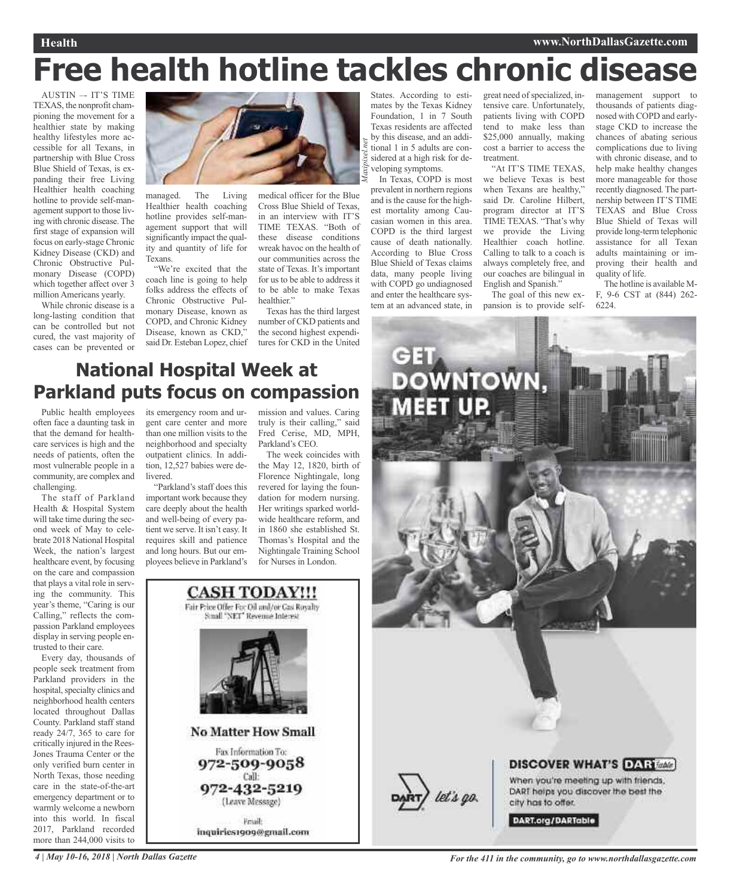### **Health www.NorthDallasGazette.com**

# **Free health hotline tackles chronic disease**

*Maxipixel.net*

AUSTIN –- IT'S TIME TEXAS, the nonprofit championing the movement for a healthier state by making healthy lifestyles more accessible for all Texans, in partnership with Blue Cross Blue Shield of Texas, is expanding their free Living Healthier health coaching hotline to provide self-management support to those living with chronic disease. The first stage of expansion will focus on early-stage Chronic Kidney Disease (CKD) and Chronic Obstructive Pulmonary Disease (COPD) which together affect over 3 million Americans yearly.

While chronic disease is a long-lasting condition that can be controlled but not cured, the vast majority of cases can be prevented or



managed. The Living Healthier health coaching hotline provides self-management support that will significantly impact the quality and quantity of life for Texans.

"We're excited that the coach line is going to help folks address the effects of Chronic Obstructive Pulmonary Disease, known as COPD, and Chronic Kidney Disease, known as CKD," said Dr. Esteban Lopez, chief medical officer for the Blue Cross Blue Shield of Texas, in an interview with IT'S TIME TEXAS. "Both of these disease conditions wreak havoc on the health of our communities across the state of Texas. It's important for us to be able to address it to be able to make Texas healthier."

Texas has the third largest number of CKD patients and the second highest expenditures for CKD in the United

States. According to estimates by the Texas Kidney Foundation, 1 in 7 South Texas residents are affected by this disease, and an additional 1 in 5 adults are considered at a high risk for developing symptoms.

In Texas, COPD is most prevalent in northern regions and is the cause for the highest mortality among Caucasian women in this area. COPD is the third largest cause of death nationally. According to Blue Cross Blue Shield of Texas claims data, many people living with COPD go undiagnosed and enter the healthcare system at an advanced state, in

great need of specialized, intensive care. Unfortunately, patients living with COPD tend to make less than \$25,000 annually, making cost a barrier to access the treatment.

"At IT'S TIME TEXAS, we believe Texas is best when Texans are healthy," said Dr. Caroline Hilbert, program director at IT'S TIME TEXAS. "That's why we provide the Living Healthier coach hotline. Calling to talk to a coach is always completely free, and our coaches are bilingual in English and Spanish."

The goal of this new expansion is to provide self-

management support to thousands of patients diagnosed with COPD and earlystage CKD to increase the chances of abating serious complications due to living with chronic disease, and to help make healthy changes more manageable for those recently diagnosed. The partnership between IT'S TIME TEXAS and Blue Cross Blue Shield of Texas will provide long-term telephonic assistance for all Texan adults maintaining or improving their health and quality of life.

The hotline is available M-F, 9-6 CST at (844) 262- 6224.

### **National Hospital Week at Parkland puts focus on compassion**

Public health employees often face a daunting task in that the demand for healthcare services is high and the needs of patients, often the most vulnerable people in a community, are complex and challenging.

The staff of Parkland Health & Hospital System will take time during the second week of May to celebrate 2018 National Hospital Week, the nation's largest healthcare event, by focusing on the care and compassion that plays a vital role in serving the community. This year's theme, "Caring is our Calling," reflects the compassion Parkland employees display in serving people entrusted to their care.

Every day, thousands of people seek treatment from Parkland providers in the hospital, specialty clinics and neighborhood health centers located throughout Dallas County. Parkland staff stand ready 24/7, 365 to care for critically injured in the Rees-Jones Trauma Center or the only verified burn center in North Texas, those needing care in the state-of-the-art emergency department or to warmly welcome a newborn into this world. In fiscal 2017, Parkland recorded more than 244,000 visits to

its emergency room and urgent care center and more than one million visits to the neighborhood and specialty outpatient clinics. In addition, 12,527 babies were de**livered** 

"Parkland's staff does this important work because they care deeply about the health and well-being of every patient we serve. It isn't easy. It requires skill and patience and long hours. But our employees believe in Parkland's

mission and values. Caring truly is their calling," said Fred Cerise, MD, MPH, Parkland's CEO.

The week coincides with the May 12, 1820, birth of Florence Nightingale, long revered for laying the foundation for modern nursing. Her writings sparked worldwide healthcare reform, and in 1860 she established St. Thomas's Hospital and the Nightingale Training School for Nurses in London.



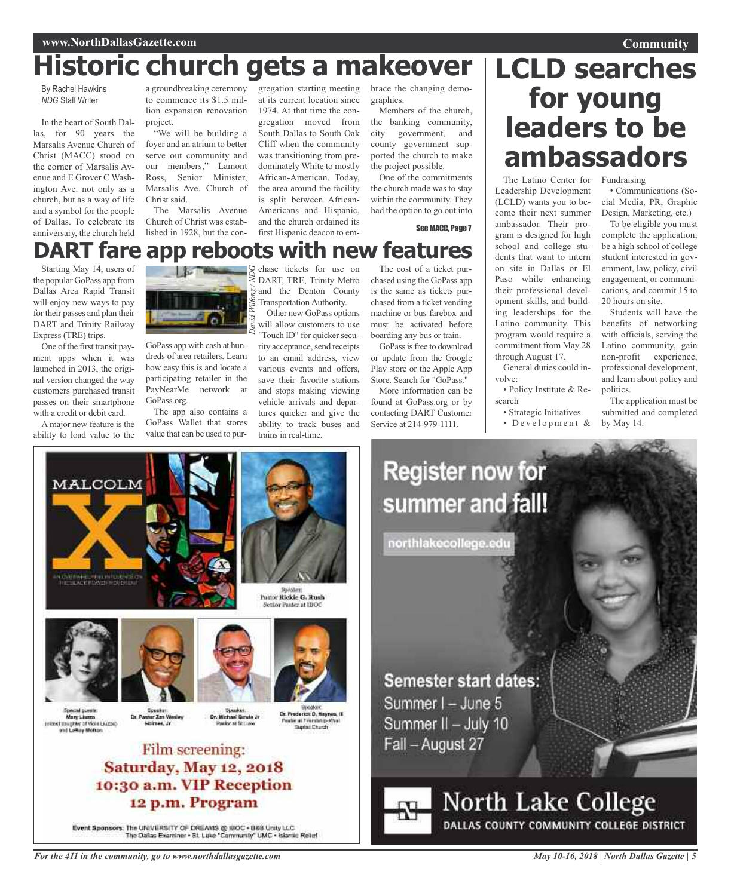## **Historic church gets a makeover**

By Rachel Hawkins *NDG* Staff Writer

In the heart of South Dallas, for 90 years the Marsalis Avenue Church of Christ (MACC) stood on the corner of Marsalis Avenue and E Grover C Washington Ave. not only as a church, but as a way of life and a symbol for the people of Dallas. To celebrate its anniversary, the church held

Starting May 14, users of the popular GoPass app from Dallas Area Rapid Transit will enjoy new ways to pay for their passes and plan their DART and Trinity Railway

One of the first transit payment apps when it was launched in 2013, the original version changed the way customers purchased transit passes on their smartphone with a credit or debit card. A major new feature is the

Express (TRE) trips.

a groundbreaking ceremony to commence its \$1.5 million expansion renovation project.

"We will be building a foyer and an atrium to better serve out community and our members," Lamont Ross, Senior Minister, Marsalis Ave. Church of Christ said.

The Marsalis Avenue Church of Christ was established in 1928, but the con-

gregation starting meeting at its current location since 1974. At that time the congregation moved from South Dallas to South Oak Cliff when the community was transitioning from predominately White to mostly African-American. Today, the area around the facility is split between African-Americans and Hispanic, and the church ordained its first Hispanic deacon to embrace the changing demographics.

Members of the church, the banking community, city government, and county government supported the church to make the project possible.

One of the commitments the church made was to stay within the community. They had the option to go out into

See MACC, Page 7

## **Community LCLD searches for young leaders to be ambassadors**

The Latino Center for Leadership Development (LCLD) wants you to become their next summer Fundraising • Communications (Social Media, PR, Graphic

ambassador. Their program is designed for high school and college students that want to intern on site in Dallas or El Paso while enhancing their professional development skills, and building leaderships for the Latino community. This program would require a commitment from May 28 through August 17.

General duties could in-

• Policy Institute & Re-

• Strategic Initiatives • Development &

volve:

search

Design, Marketing, etc.) To be eligible you must complete the application, be a high school of college student interested in government, law, policy, civil engagement, or communications, and commit 15 to 20 hours on site.

Students will have the benefits of networking with officials, serving the Latino community, gain non-profit experience, professional development, and learn about policy and politics.

The application must be submitted and completed by May 14.

**DART fare app reboots with new features** *David G*

> GoPass app with cash at hundreds of area retailers. Learn how easy this is and locate a participating retailer in the PayNearMe network at GoPass.org.

The app also contains a GoPass Wallet that stores value that can be used to pur-

chase tickets for use on DART, TRE, Trinity Metro **and** the Denton County Transportation Authority. Other new GoPass options *Wilfong / ND*

will allow customers to use Touch ID" for quicker security acceptance, send receipts to an email address, view various events and offers, save their favorite stations and stops making viewing vehicle arrivals and departures quicker and give the ability to track buses and trains in real-time.

The cost of a ticket purchased using the GoPass app is the same as tickets purchased from a ticket vending machine or bus farebox and must be activated before boarding any bus or train.

GoPass is free to download or update from the Google Play store or the Apple App Store. Search for "GoPass."

More information can be found at GoPass.org or by contacting DART Customer Service at 214-979-1111.



Event Sponsors: The UNIVERSITY OF DREAMS @ BOC + B&B Unity LLC<br>The Oatlas Examiner + 8t. Luke "Community" UMC + Islamic Relief

*For the 411 in the community, go to www.northdallasgazette.com*

summer and fall! northlakecollege.edu

Semester start dates: Summer I - June 5 Summer II - July 10 Fall - August 27

**Register now for** 

## **North Lake College** DALLAS COUNTY COMMUNITY COLLEGE DISTRICT

*May 10-16, 2018 | North Dallas Gazette | 5*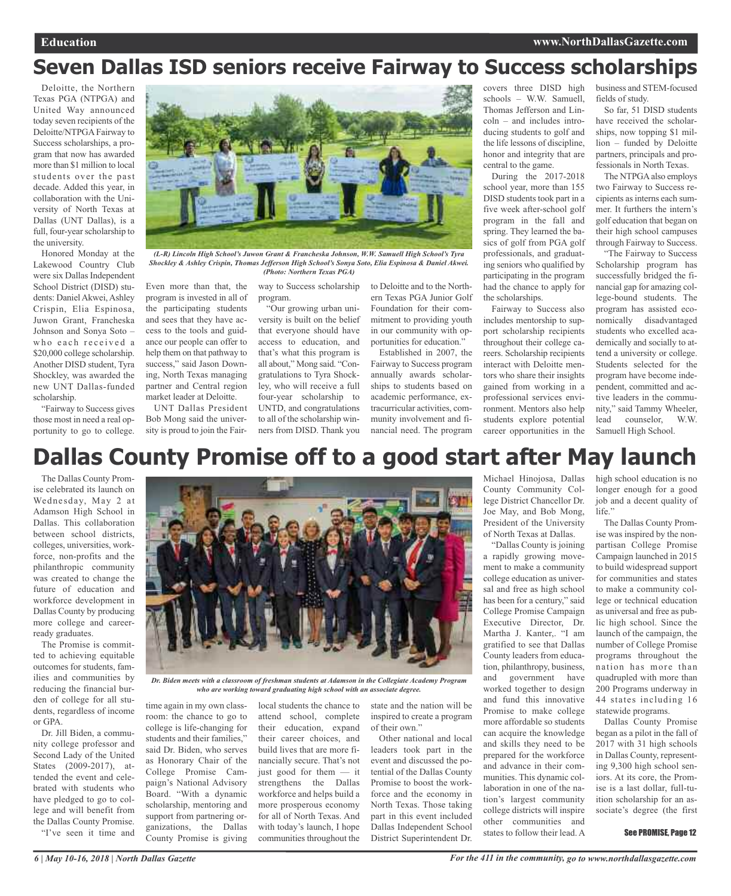### **Seven Dallas ISD seniors receive Fairway to Success scholarships**

Deloitte, the Northern Texas PGA (NTPGA) and United Way announced today seven recipients of the Deloitte/NTPGA Fairway to Success scholarships, a program that now has awarded more than \$1 million to local students over the past decade. Added this year, in collaboration with the University of North Texas at Dallas (UNT Dallas), is a full, four-year scholarship to the university.

Honored Monday at the Lakewood Country Club were six Dallas Independent School District (DISD) students: Daniel Akwei, Ashley Crispin, Elia Espinosa, Juwon Grant, Francheska Johnson and Sonya Soto – who each received a \$20,000 college scholarship. Another DISD student, Tyra Shockley, was awarded the new UNT Dallas-funded scholarship.

"Fairway to Success gives those most in need a real opportunity to go to college.



*(L-R) Lincoln High School's Juwon Grant & Francheska Johnson, W.W. Samuell High School's Tyra Shockley & Ashley Crispin, Thomas Jefferson High School's Sonya Soto, Elia Espinosa & Daniel Akwei. (Photo: Northern Texas PGA)*

Even more than that, the program is invested in all of the participating students and sees that they have access to the tools and guidance our people can offer to help them on that pathway to success," said Jason Downing, North Texas managing partner and Central region market leader at Deloitte.

UNT Dallas President Bob Mong said the university is proud to join the Fair-

way to Success scholarship program.

"Our growing urban university is built on the belief that everyone should have access to education, and that's what this program is all about," Mong said. "Congratulations to Tyra Shockley, who will receive a full four-year scholarship to UNTD, and congratulations to all of the scholarship winners from DISD. Thank you

to Deloitte and to the Northern Texas PGA Junior Golf Foundation for their commitment to providing youth in our community with opportunities for education."

Established in 2007, the Fairway to Success program annually awards scholarships to students based on academic performance, extracurricular activities, community involvement and financial need. The program

covers three DISD high schools – W.W. Samuell, Thomas Jefferson and Lincoln – and includes introducing students to golf and the life lessons of discipline, honor and integrity that are central to the game.

During the 2017-2018 school year, more than 155 DISD students took part in a five week after-school golf program in the fall and spring. They learned the basics of golf from PGA golf professionals, and graduating seniors who qualified by participating in the program had the chance to apply for the scholarships.

Fairway to Success also includes mentorship to support scholarship recipients throughout their college careers. Scholarship recipients interact with Deloitte mentors who share their insights gained from working in a professional services environment. Mentors also help students explore potential career opportunities in the business and STEM-focused fields of study.

So far, 51 DISD students have received the scholarships, now topping \$1 million – funded by Deloitte partners, principals and professionals in North Texas.

The NTPGAalso employs two Fairway to Success recipients asinterns each summer. It furthers the intern's golf education that began on their high school campuses through Fairway to Success.

"The Fairway to Success Scholarship program has successfully bridged the financial gap for amazing college-bound students. The program has assisted economically disadvantaged students who excelled academically and socially to attend a university or college. Students selected for the program have become independent, committed and active leaders in the community," said Tammy Wheeler, lead counselor, W.W. Samuell High School.

### **Dallas County Promise off to a good start after May launch**

The Dallas County Promise celebrated its launch on Wednesday, May 2 at Adamson High School in Dallas. This collaboration between school districts, colleges, universities, workforce, non-profits and the philanthropic community was created to change the future of education and workforce development in Dallas County by producing more college and careerready graduates.

The Promise is committed to achieving equitable outcomes for students, families and communities by reducing the financial burden of college for all students, regardless of income or GPA.

Dr. Jill Biden, a community college professor and Second Lady of the United States (2009-2017), attended the event and celebrated with students who have pledged to go to college and will benefit from the Dallas County Promise. "I've seen it time and



*Dr. Biden meets with a classroom of freshman students at Adamson in the Collegiate Academy Program who are working toward graduating high school with an associate degree.*

more prosperous economy for all of North Texas. And with today's launch, I hope communities throughout the

time again in my own classroom: the chance to go to college is life-changing for students and their families," said Dr. Biden, who serves as Honorary Chair of the College Promise Campaign's National Advisory Board. "With a dynamic scholarship, mentoring and support from partnering organizations, the Dallas County Promise is giving local students the chance to attend school, complete their education, expand their career choices, and build lives that are more financially secure. That's not just good for them — it strengthens the Dallas workforce and helps build a

state and the nation will be inspired to create a program of their own."

Other national and local leaders took part in the event and discussed the potential of the Dallas County Promise to boost the workforce and the economy in North Texas. Those taking part in this event included Dallas Independent School District Superintendent Dr.

Michael Hinojosa, Dallas County Community College District Chancellor Dr. Joe May, and Bob Mong, President of the University of North Texas at Dallas.

"Dallas County is joining a rapidly growing movement to make a community college education as universal and free as high school has been for a century," said College Promise Campaign Executive Director, Dr. Martha J. Kanter,. "I am gratified to see that Dallas County leaders from education, philanthropy, business, and government have worked together to design and fund this innovative Promise to make college more affordable so students can acquire the knowledge and skills they need to be prepared for the workforce and advance in their communities. This dynamic collaboration in one of the nation's largest community college districts will inspire other communities and states to follow their lead. A

high school education is no longer enough for a good job and a decent quality of life."

The Dallas County Promise was inspired by the nonpartisan College Promise Campaign launched in 2015 to build widespread support for communities and states to make a community college or technical education as universal and free as public high school. Since the launch of the campaign, the number of College Promise programs throughout the nation has more than quadrupled with more than 200 Programs underway in 44 states including 16 statewide programs.

Dallas County Promise began as a pilot in the fall of 2017 with 31 high schools in Dallas County, representing 9,300 high school seniors. At its core, the Promise is a last dollar, full-tuition scholarship for an associate's degree (the first

#### See PROMISE, Page 12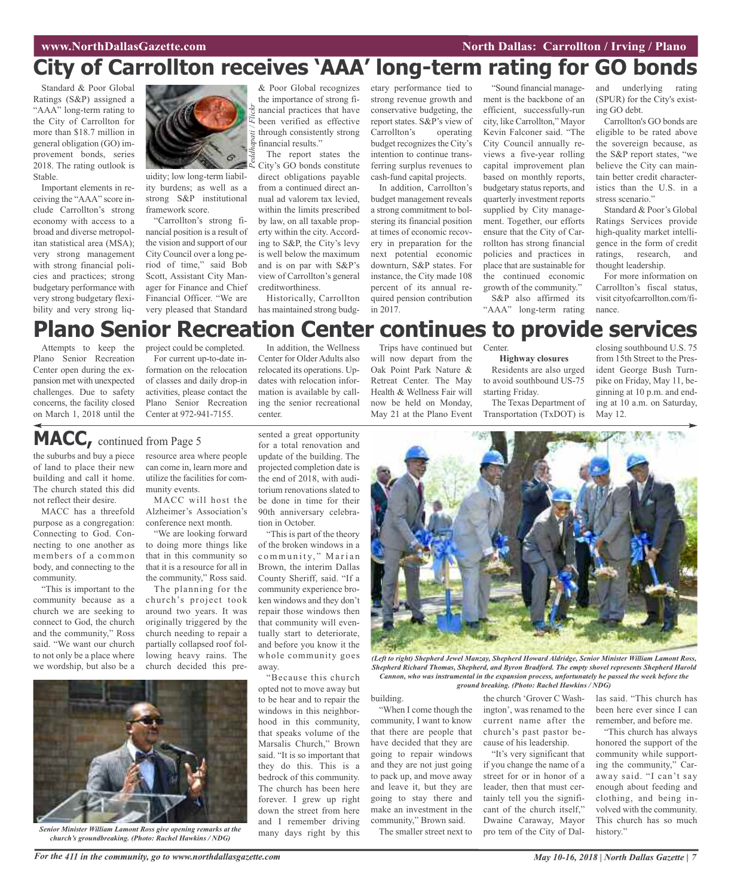## **City of Carrollton receives 'AAA' long-term rating for GO bonds**

Standard & Poor Global Ratings (S&P) assigned a "AAA" long-term rating to the City of Carrollton for more than \$18.7 million in general obligation (GO) improvement bonds, series 2018. The rating outlook is Stable.

Important elements in receiving the "AAA" score include Carrollton's strong economy with access to a broad and diverse metropolitan statistical area (MSA); very strong management with strong financial policies and practices; strong budgetary performance with very strong budgetary flexibility and very strong liq-



uidity; low long-term liability burdens; as well as a strong S&P institutional framework score.

"Carrollton's strong financial position is a result of the vision and support of our City Council over a long period of time," said Bob Scott, Assistant City Manager for Finance and Chief Financial Officer. "We are very pleased that Standard

& Poor Global recognizes the importance of strong financial practices that have been verified as effective through consistently strong financial results."

The report states the City's GO bonds constitute direct obligations payable from a continued direct annual ad valorem tax levied, within the limits prescribed by law, on all taxable property within the city. According to S&P, the City's levy is well below the maximum and is on par with S&P's view of Carrollton's general creditworthiness. Historically, Carrollton

has maintained strong budg-

In addition, the Wellness Center for Older Adults also relocated its operations. Updates with relocation information is available by calletary performance tied to strong revenue growth and conservative budgeting, the report states. S&P's view of<br>Carrollton's operating Carrollton's budget recognizes the City's intention to continue transferring surplus revenues to cash-fund capital projects.

In addition, Carrollton's budget management reveals a strong commitment to bolstering its financial position at times of economic recovery in preparation for the next potential economic downturn, S&P states. For instance, the City made 108 percent of its annual required pension contribution in 2017.

"Sound financial management is the backbone of an efficient, successfully-run city, like Carrollton," Mayor Kevin Falconer said. "The City Council annually reviews a five-year rolling capital improvement plan based on monthly reports, budgetary status reports, and quarterly investment reports supplied by City management. Together, our efforts ensure that the City of Carrollton has strong financial policies and practices in place that are sustainable for the continued economic growth of the community." S&P also affirmed its "AAA" long-term rating

and underlying rating (SPUR) for the City's existing GO debt.

Carrollton's GO bonds are eligible to be rated above the sovereign because, as the S&P report states, "we believe the City can maintain better credit characteristics than the U.S. in a stress scenario.'

Standard & Poor's Global Ratings Services provide high-quality market intelligence in the form of credit ratings, research, and thought leadership.

For more information on Carrollton's fiscal status, visit cityofcarrollton.com/finance.

### **Plano Senior Recreation Center continues to provide services**

Attempts to keep the Plano Senior Recreation Center open during the expansion met with unexpected challenges. Due to safety concerns, the facility closed on March 1, 2018 until the

project could be completed. For current up-to-date information on the relocation of classes and daily drop-in activities, please contact the Plano Senior Recreation Center at 972-941-7155.

### **MACC,** continued from Page <sup>5</sup>

the suburbs and buy a piece of land to place their new building and call it home. The church stated this did not reflect their desire.

MACC has a threefold purpose as a congregation: Connecting to God. Connecting to one another as members of a common body, and connecting to the community.

"This is important to the community because as a church we are seeking to connect to God, the church and the community," Ross said. "We want our church to not only be a place where we wordship, but also be a resource area where people can come in, learn more and utilize the facilities for community events.

MACC will host the Alzheimer's Association's conference next month.

"We are looking forward to doing more things like that in this community so that it is a resource for all in the community," Ross said.

The planning for the church's project took around two years. It was originally triggered by the church needing to repair a partially collapsed roof following heavy rains. The church decided this presented a great opportunity for a total renovation and update of the building. The projected completion date is the end of 2018, with auditorium renovations slated to ing the senior recreational center.

be done in time for their 90th anniversary celebration in October. "This is part of the theory of the broken windows in a community," Marian Brown, the interim Dallas County Sheriff, said. "If a community experience broken windows and they don't repair those windows then that community will even-

tually start to deteriorate, and before you know it the whole community goes away.

"Because this church opted not to move away but to be hear and to repair the windows in this neighborhood in this community, that speaks volume of the Marsalis Church," Brown said. "It is so important that they do this. This is a bedrock of this community. The church has been here forever. I grew up right down the street from here and I remember driving many days right by this

Trips have continued but will now depart from the Oak Point Park Nature & Retreat Center. The May Health & Wellness Fair will now be held on Monday, May 21 at the Plano Event **Center** 

### **Highway closures**

Residents are also urged to avoid southbound US-75 starting Friday. The Texas Department of

Transportation (TxDOT) is

closing southbound U.S. 75 from 15th Street to the President George Bush Turnpike on Friday, May 11, beginning at 10 p.m. and ending at 10 a.m. on Saturday, May 12.



*(Left to right) Shepherd Jewel Manzay, Shepherd Howard Aldridge, Senior Minister William Lamont Ross, Shepherd Richard Thomas, Shepherd, and Byron Bradford. The empty shovel represents Shepherd Harold Cannon, who was instrumental in the expansion process, unfortunately he passed the week before the ground breaking. (Photo: Rachel Hawkins / NDG)*

building.

"When I come though the community, I want to know that there are people that have decided that they are going to repair windows and they are not just going to pack up, and move away and leave it, but they are going to stay there and make an investment in the community," Brown said.

The smaller street next to

the church 'Grover C Washington', was renamed to the current name after the church's past pastor because of his leadership.

"It's very significant that if you change the name of a street for or in honor of a leader, then that must certainly tell you the significant of the church itself," Dwaine Caraway, Mayor pro tem of the City of Dallas said. "This church has been here ever since I can remember, and before me.

"This church has always honored the support of the community while supporting the community," Caraway said. "I can't say enough about feeding and clothing, and being involved with the community. This church has so much history."



*Senior Minister William Lamont Ross give opening remarks at the church's groundbreaking. (Photo: Rachel Hawkins / NDG)*

For the 411 in the community, go to www.northdallasgazette.com May 10-16, 2018 | North Dallas Gazette | 7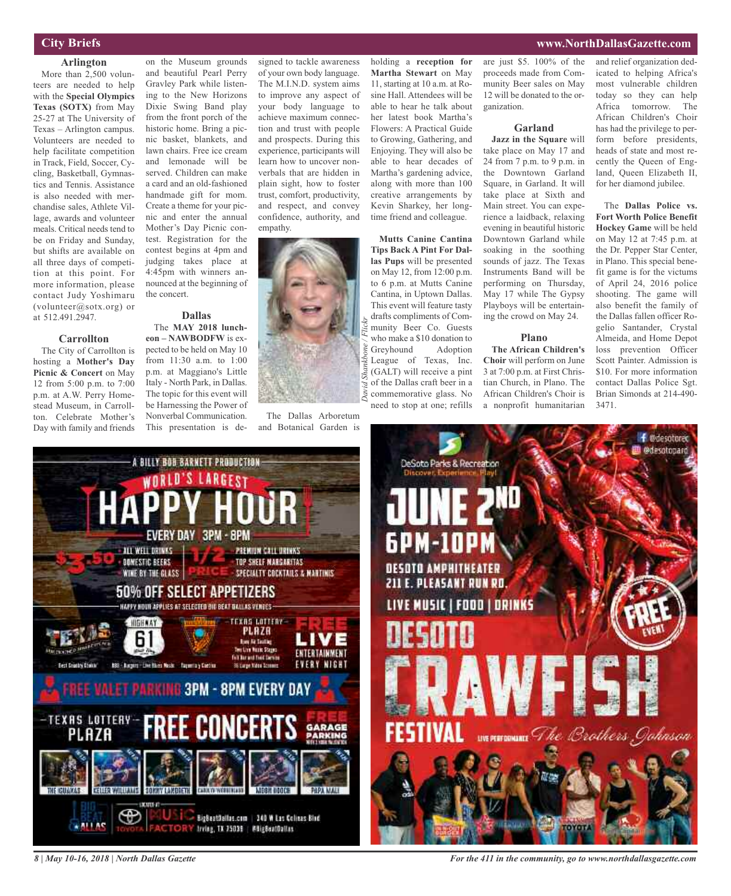### **City Briefs**

### **Arlington**

More than 2,500 volunteers are needed to help with the **Special Olympics Texas (SOTX)** from May 25-27 at The University of Texas – Arlington campus. Volunteers are needed to help facilitate competition in Track, Field, Soccer, Cycling, Basketball, Gymnastics and Tennis. Assistance is also needed with merchandise sales, Athlete Village, awards and volunteer meals. Critical needs tend to be on Friday and Sunday, but shifts are available on all three days of competition at this point. For more information, please contact Judy Yoshimaru (volunteer@sotx.org) or at 512.491.2947.

**Carrollton** The City of Carrollton is hosting a **Mother's Day Picnic & Concert** on May 12 from 5:00 p.m. to 7:00 p.m. at A.W. Perry Homestead Museum, in Carrollton. Celebrate Mother's Day with family and friends

#### on the Museum grounds and beautiful Pearl Perry Gravley Park while listening to the New Horizons Dixie Swing Band play from the front porch of the historic home. Bring a picnic basket, blankets, and lawn chairs. Free ice cream and lemonade will be served. Children can make a card and an old-fashioned handmade gift for mom. Create a theme for your picnic and enter the annual Mother's Day Picnic contest. Registration for the contest begins at 4pm and judging takes place at 4:45pm with winners announced at the beginning of the concert.

#### **Dallas** The **MAY 2018 lunch-**

**eon – NAWBODFW** is expected to be held on May 10 from 11:30 a.m. to 1:00 p.m. at Maggiano's Little Italy - North Park, in Dallas. The topic for this event will be Harnessing the Power of Nonverbal Communication. This presentation is de-

signed to tackle awareness of your own body language. The M.I.N.D. system aims to improve any aspect of your body language to achieve maximum connection and trust with people and prospects. During this experience, participants will learn how to uncover nonverbals that are hidden in plain sight, how to foster trust, comfort, productivity, and respect, and convey confidence, authority, and empathy.



The Dallas Arboretum and Botanical Garden is

*David*

*Shankbone / Flickr*

holding a **reception for Martha Stewart** on May 11, starting at 10 a.m. at Rosine Hall. Attendees will be able to hear he talk about her latest book Martha's Flowers: A Practical Guide to Growing, Gathering, and Enjoying. They will also be able to hear decades of Martha's gardening advice, along with more than 100 creative arrangements by Kevin Sharkey, her longtime friend and colleague.

**Mutts Canine Cantina Tips Back A Pint For Dallas Pups** will be presented on May 12, from 12:00 p.m. to 6 p.m. at Mutts Canine Cantina, in Uptown Dallas. This event will feature tasty drafts compliments of Community Beer Co. Guests who make a \$10 donation to Greyhound Adoption League of Texas, Inc. (GALT) will receive a pint of the Dallas craft beer in a commemorative glass. No need to stop at one; refills

are just \$5. 100% of the proceeds made from Community Beer sales on May 12 will be donated to the organization.

### **Garland**

**Jazz in the Square** will take place on May 17 and 24 from 7 p.m. to 9 p.m. in the Downtown Garland Square, in Garland. It will take place at Sixth and Main street. You can experience a laidback, relaxing evening in beautiful historic Downtown Garland while soaking in the soothing sounds of jazz. The Texas Instruments Band will be performing on Thursday, May 17 while The Gypsy Playboys will be entertaining the crowd on May 24.

### **Plano**

**The African Children's Choir** will perform on June 3 at 7:00 p.m. at First Christian Church, in Plano. The African Children's Choir is a nonprofit humanitarian and relief organization dedicated to helping Africa's most vulnerable children today so they can help Africa tomorrow. The African Children's Choir has had the privilege to perform before presidents, heads of state and most recently the Queen of England, Queen Elizabeth II, for her diamond jubilee.

The **Dallas Police vs. Fort Worth Police Benefit Hockey Game** will be held on May 12 at 7:45 p.m. at the Dr. Pepper Star Center, in Plano. This special benefit game is for the victums of April 24, 2016 police shooting. The game will also benefit the family of the Dallas fallen officer Rogelio Santander, Crystal Almeida, and Home Depot loss prevention Officer Scott Painter. Admission is \$10. For more information contact Dallas Police Sgt. Brian Simonds at 214-490- 3471.





*For the 411 in the community, go to www.northdallasgazette.com*

### **www.NorthDallasGazette.com**

*8 | May 10-16, 2018 | North Dallas Gazette*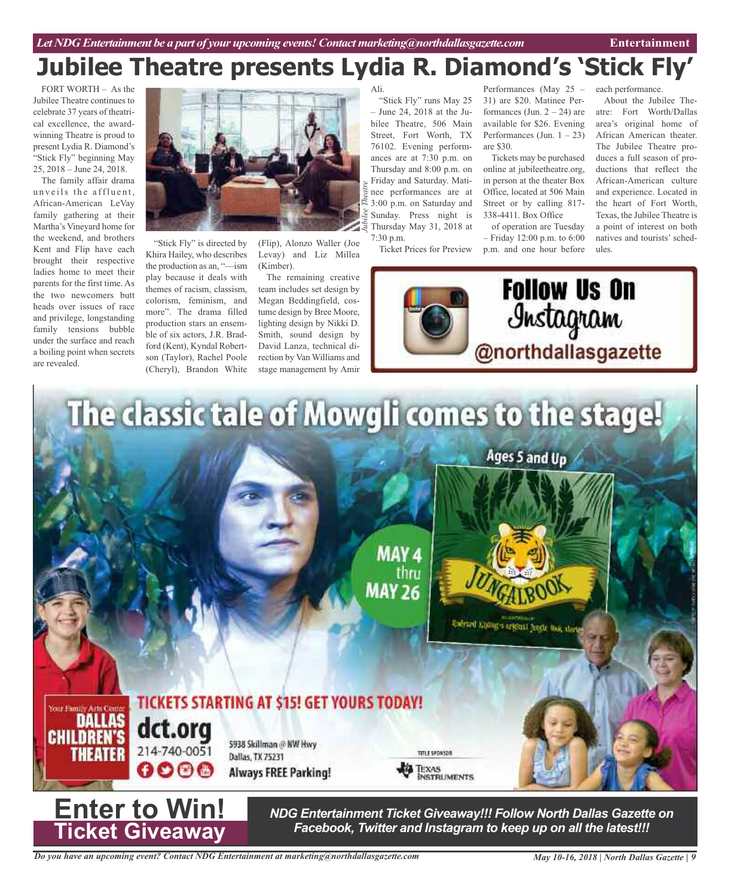## **Jubilee Theatre presents Lydia R. Diamond's 'Stick Fly'**

*Jubilee Theatre*

FORT WORTH – As the Jubilee Theatre continues to celebrate 37 years of theatrical excellence, the awardwinning Theatre is proud to present Lydia R. Diamond's "Stick Fly" beginning May 25, 2018 – June 24, 2018.

The family affair drama unveils the affluent. African-American LeVay family gathering at their Martha's Vineyard home for the weekend, and brothers Kent and Flip have each brought their respective ladies home to meet their parents for the first time. As the two newcomers butt heads over issues of race and privilege, longstanding family tensions bubble under the surface and reach a boiling point when secrets are revealed.



"Stick Fly" is directed by Khira Hailey, who describes the production as an, "—ism play because it deals with themes of racism, classism, colorism, feminism, and more". The drama filled production stars an ensemble of six actors, J.R. Bradford (Kent), Kyndal Robertson (Taylor), Rachel Poole (Cheryl), Brandon White

(Flip), Alonzo Waller (Joe Levay) and Liz Millea (Kimber).

The remaining creative team includes set design by Megan Beddingfield, costume design by Bree Moore, lighting design by Nikki D. Smith, sound design by David Lanza, technical direction by Van Williams and stage management by Amir

Ali.

"Stick Fly" runs May 25 – June 24, 2018 at the Jubilee Theatre, 506 Main Street, Fort Worth, TX 76102. Evening performances are at 7:30 p.m. on Thursday and 8:00 p.m. on Friday and Saturday. Matinee performances are at 3:00 p.m. on Saturday and Sunday. Press night is Thursday May 31, 2018 at 7:30 p.m.

Ticket Prices for Preview

Performances (May 25 – 31) are \$20. Matinee Performances (Jun.  $2 - 24$ ) are available for \$26. Evening Performances (Jun.  $1 - 23$ ) are \$30.

Tickets may be purchased online at jubileetheatre.org, in person at the theater Box Office, located at 506 Main Street or by calling 817- 338-4411. Box Office

of operation are Tuesday – Friday 12:00 p.m. to 6:00 p.m. and one hour before





The dassic tale of Mowgli comes to the stage! Ages 5 and Up MAY 4 thru **MAY 26** Endrard Kining's crisical hands line, slorin **TICKETS STARTING AT \$15! GET YOURS TODAY!** DALLAS **dct.org**<br>214-740-0051 **CHILDREN'S** 5938 Skillman @ NW Hwy TITLE SPONSOR Dallas, TX 75231  $0000$ TEXAS<br>INSTRUMENTS **Always FREE Parking! Enter to Win!**

*NDG Entertainment Ticket Giveaway!!! Follow North Dallas Gazette on Facebook, Twitter and Instagram to keep up on all the latest!!!*

**Ticket Giveaway**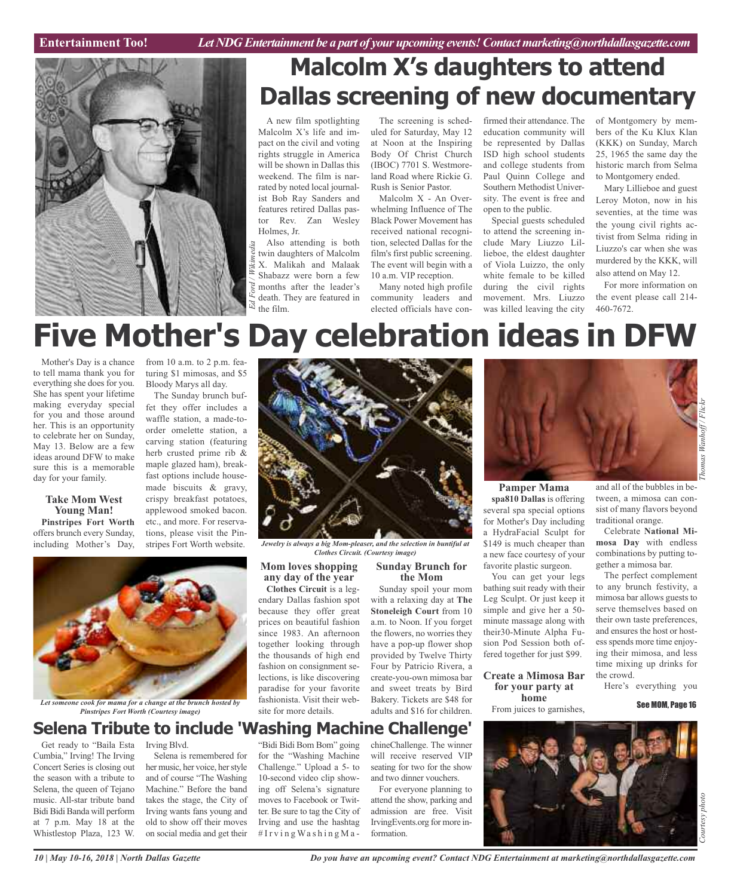**Car Review Entertainment Too!** *Let NDG Entertainment be a part of your upcoming events!Contactmarketing@northdallasgazette.com*



## **Malcolm X's daughters to attend Dallas screening of new documentary**

A new film spotlighting Malcolm X's life and impact on the civil and voting rights struggle in America will be shown in Dallas this weekend. The film is narrated by noted local journalist Bob Ray Sanders and features retired Dallas pastor Rev. Zan Wesley Holmes, Jr.

Also attending is both twin daughters of Malcolm X. Malikah and Malaak Shabazz were born a few months after the leader's death. They are featured in the film. *Ed Ford / Wikimedia*

The screening is scheduled for Saturday, May 12 at Noon at the Inspiring Body Of Christ Church (IBOC) 7701 S. Westmoreland Road where Rickie G. Rush is Senior Pastor.

Malcolm X - An Overwhelming Influence of The Black Power Movement has received national recognition, selected Dallas for the film's first public screening. The event will begin with a 10 a.m. VIP reception.

Many noted high profile community leaders and elected officials have confirmed their attendance. The education community will be represented by Dallas ISD high school students and college students from Paul Quinn College and Southern Methodist University. The event is free and open to the public.

Special guests scheduled to attend the screening include Mary Liuzzo Lillieboe, the eldest daughter of Viola Luizzo, the only white female to be killed during the civil rights movement. Mrs. Liuzzo was killed leaving the city of Montgomery by members of the Ku Klux Klan (KKK) on Sunday, March 25, 1965 the same day the historic march from Selma to Montgomery ended.

Mary Lillieboe and guest Leroy Moton, now in his seventies, at the time was the young civil rights activist from Selma riding in Liuzzo's car when she was murdered by the KKK, will also attend on May 12.

For more information on the event please call 214- 460-7672.

# **Five Mother's Day celebration ideas in DFW**

Mother's Day is a chance to tell mama thank you for everything she does for you. She has spent your lifetime making everyday special for you and those around her. This is an opportunity to celebrate her on Sunday, May 13. Below are a few ideas around DFW to make sure this is a memorable day for your family.

> **Take Mom West Young Man!**

from 10 a.m. to 2 p.m. featuring \$1 mimosas, and \$5 Bloody Marys all day.

The Sunday brunch buffet they offer includes a waffle station, a made-toorder omelette station, a carving station (featuring herb crusted prime rib & maple glazed ham), breakfast options include housemade biscuits & gravy, crispy breakfast potatoes, applewood smoked bacon. stripes Fort Worth website.



*Jewelry is always a big Mom-pleaser, and the selection in buntiful at Clothes Circuit. (Courtesy image)*

### **Mom loves shopping any day of the year**

endary Dallas fashion spot because they offer great prices on beautiful fashion since 1983. An afternoon together looking through the thousands of high end fashion on consignment selections, is like discovering paradise for your favorite fashionista. Visit their website for more details.

### **Sunday Brunch for the Mom**

Sunday spoil your mom with a relaxing day at **The Stoneleigh Court** from 10 a.m. to Noon. If you forget the flowers, no worries they have a pop-up flower shop provided by Twelve Thirty Four by Patricio Rivera, a create-you-own mimosa bar and sweet treats by Bird Bakery. Tickets are \$48 for adults and \$16 for children.



**Pamper Mama spa810 Dallas** is offering several spa special options for Mother's Day including a HydraFacial Sculpt for \$149 is much cheaper than a new face courtesy of your favorite plastic surgeon.

You can get your legs bathing suit ready with their Leg Sculpt. Or just keep it simple and give her a 50 minute massage along with their30-Minute Alpha Fusion Pod Session both offered together for just \$99.

**Create a Mimosa Bar for your party at home**

From juices to garnishes,

and all of the bubbles in between, a mimosa can consist of many flavors beyond traditional orange.

Celebrate **National Mimosa Day** with endless combinations by putting together a mimosa bar.

The perfect complement to any brunch festivity, a mimosa bar allows guests to serve themselves based on their own taste preferences, and ensures the host or hostess spends more time enjoying their mimosa, and less time mixing up drinks for the crowd.

Here's everything you

See MOM, Page 16

### **Selena Tribute to include 'Washing Machine Challenge'**

Get ready to "Baila Esta Cumbia," Irving! The Irving Concert Series is closing out the season with a tribute to Selena, the queen of Tejano music. All-star tribute band Bidi Bidi Banda will perform at 7 p.m. May 18 at the Whistlestop Plaza, 123 W.

Irving Blvd. Selena is remembered for her music, her voice, her style and of course "The Washing Machine." Before the band takes the stage, the City of Irving wants fans young and old to show off their moves on social media and get their

"Bidi Bidi Bom Bom" going for the "Washing Machine Challenge." Upload a 5- to 10-second video clip showing off Selena's signature moves to Facebook or Twitter. Be sure to tag the City of Irving and use the hashtag  $# I r v i n g W a s h i n g M a -$ 

chineChallenge. The winner will receive reserved VIP seating for two for the show and two dinner vouchers.

For everyone planning to attend the show, parking and admission are free. Visit IrvingEvents.org for more information.



*Let someone cook for mama for a change at the brunch hosted by Pinstripes Fort Worth (Courtesy image)*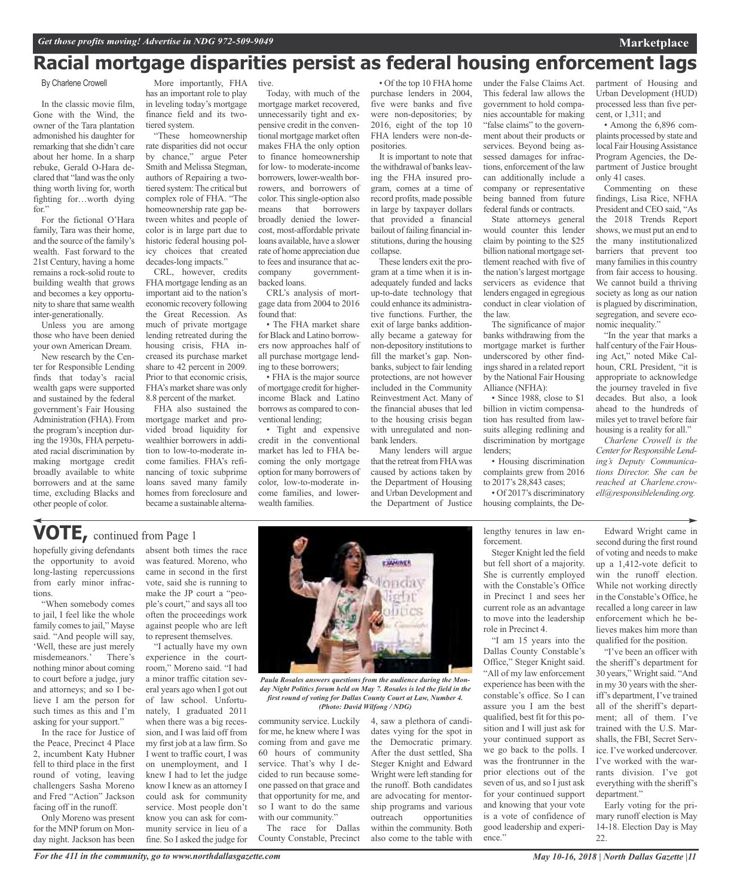### **Racial mortgage disparities persist as federal housing enforcement lags**

#### By Charlene Crowell

In the classic movie film, Gone with the Wind, the owner of the Tara plantation admonished his daughter for remarking that she didn't care about her home. In a sharp rebuke, Gerald O-Hara declared that "land wasthe only thing worth living for, worth fighting for…worth dying for."

For the fictional O'Hara family, Tara was their home, and the source of the family's wealth. Fast forward to the 21st Century, having a home remains a rock-solid route to building wealth that grows and becomes a key opportunity to share that same wealth inter-generationally.

Unless you are among those who have been denied your own American Dream.

New research by the Center for Responsible Lending finds that today's racial wealth gaps were supported and sustained by the federal government's Fair Housing Administration (FHA). From the program's inception during the 1930s, FHA perpetuated racial discrimination by making mortgage credit broadly available to white borrowers and at the same time, excluding Blacks and other people of color.

More importantly, FHA has an important role to play in leveling today's mortgage finance field and its twotiered system.

"These homeownership rate disparities did not occur by chance," argue Peter Smith and Melissa Stegman, authors of Repairing a twotiered system: The critical but complex role of FHA. "The homeownership rate gap between whites and people of color is in large part due to historic federal housing policy choices that created decades-long impacts."

CRL, however, credits FHAmortgage lending as an important aid to the nation's economic recovery following the Great Recession. As much of private mortgage lending retreated during the housing crisis, FHA increased its purchase market share to 42 percent in 2009. Prior to that economic crisis, FHA's market share was only 8.8 percent of the market.

FHA also sustained the mortgage market and provided broad liquidity for wealthier borrowers in addition to low-to-moderate income families. FHA's refinancing of toxic subprime loans saved many family homes from foreclosure and became a sustainable alterna-

tive.

Today, with much of the mortgage market recovered, unnecessarily tight and expensive credit in the conventional mortgage market often makes FHA the only option to finance homeownership for low- to moderate-income borrowers, lower-wealth borrowers, and borrowers of color. This single-option also means that borrowers broadly denied the lowercost, most-affordable private loans available, have a slower rate of home appreciation due to fees and insurance that accompany governmentgovernmentbacked loans.

CRL's analysis of mortgage data from 2004 to 2016 found that:

• The FHA market share for Black and Latino borrowers now approaches half of all purchase mortgage lending to these borrowers;

• FHA is the major source of mortgage credit for higherincome Black and Latino borrows as compared to conventional lending;

• Tight and expensive credit in the conventional market has led to FHA becoming the only mortgage option for many borrowers of color, low-to-moderate income families, and lowerwealth families.

• Of the top 10 FHA home purchase lenders in 2004, five were banks and five were non-depositories; by 2016, eight of the top 10 FHA lenders were non-depositories.

It is important to note that the withdrawal of banks leaving the FHA insured program, comes at a time of record profits, made possible in large by taxpayer dollars that provided a financial bailout of failing financial institutions, during the housing collapse.

These lenders exit the program at a time when it is inadequately funded and lacks up-to-date technology that could enhance its administrative functions. Further, the exit of large banks additionally became a gateway for non-depository institutionsto fill the market's gap. Nonbanks, subject to fair lending protections, are not however included in the Community Reinvestment Act. Many of the financial abuses that led to the housing crisis began with unregulated and nonbank lenders.

Many lenders will argue that the retreat from FHA was caused by actions taken by the Department of Housing and Urban Development and the Department of Justice under the False Claims Act. This federal law allows the government to hold companies accountable for making "false claims" to the government about their products or services. Beyond being assessed damages for infractions, enforcement of the law can additionally include a company or representative being banned from future federal funds or contracts.

State attorneys general would counter this lender claim by pointing to the \$25 billion national mortgage settlement reached with five of the nation's largest mortgage servicers as evidence that lenders engaged in egregious conduct in clear violation of the law.

The significance of major banks withdrawing from the mortgage market is further underscored by other findings shared in a related report by the National Fair Housing Alliance (NFHA):

• Since 1988, close to \$1 billion in victim compensation has resulted from lawsuits alleging redlining and discrimination by mortgage lenders;

• Housing discrimination complaints grew from 2016 to 2017's 28,843 cases;

• Of 2017's discriminatory housing complaints, the De-

lengthy tenures in law en-

partment of Housing and Urban Development (HUD) processed less than five percent, or 1,311; and

**Marketplace**

• Among the 6,896 complaints processed by state and local Fair Housing Assistance Program Agencies, the Department of Justice brought only 41 cases.

Commenting on these findings, Lisa Rice, NFHA President and CEO said, "As the 2018 Trends Report shows, we must put an end to the many institutionalized barriers that prevent too many families in this country from fair access to housing. We cannot build a thriving society as long as our nation is plagued by discrimination, segregation, and severe economic inequality."

"In the year that marks a half century of the Fair Housing Act," noted Mike Calhoun, CRL President, "it is appropriate to acknowledge the journey traveled in five decades. But also, a look ahead to the hundreds of miles yet to travel before fair housing is a reality for all."

*Charlene Crowell is the Centerfor Responsible Lending's Deputy Communications Director. She can be reached at Charlene.crowell@responsiblelending.org.*

### **VOTE,** continued from Page <sup>1</sup>

hopefully giving defendants the opportunity to avoid long-lasting repercussions from early minor infractions.

"When somebody comes to jail, I feel like the whole family comes to jail," Mayse said. "And people will say, 'Well, these are just merely misdemeanors.' There's nothing minor about coming to court before a judge, jury and attorneys; and so I believe I am the person for such times as this and I'm asking for your support."

In the race for Justice of the Peace, Precinct 4 Place 2, incumbent Katy Hubner fell to third place in the first round of voting, leaving challengers Sasha Moreno and Fred "Action" Jackson facing off in the runoff.

Only Moreno was present for the MNP forum on Monday night. Jackson has been

absent both times the race was featured. Moreno, who came in second in the first vote, said she is running to make the JP court a "people's court," and says all too often the proceedings work against people who are left to represent themselves.

"I actually have my own experience in the courtroom," Moreno said. "I had a minor traffic citation several years ago when I got out of law school. Unfortunately, I graduated 2011 when there was a big recession, and I was laid off from my first job at a law firm. So I went to traffic court, I was on unemployment, and I knew I had to let the judge know I knew as an attorney I could ask for community service. Most people don't know you can ask for community service in lieu of a fine. So I asked the judge for



*Paula Rosales answers questions from the audience during the Monday Night Politics forum held on May 7. Rosales is led the field in the first round of voting for Dallas County Court at Law, Number 4. (Photo: David Wilfong / NDG)*

community service. Luckily for me, he knew where I was coming from and gave me 60 hours of community service. That's why I decided to run because someone passed on that grace and that opportunity for me, and so I want to do the same with our community.' The race for Dallas

County Constable, Precinct

4, saw a plethora of candidates vying for the spot in the Democratic primary. After the dust settled, Sha Steger Knight and Edward Wright were left standing for the runoff. Both candidates are advocating for mentorship programs and various outreach opportunities within the community. Both also come to the table with

forcement. Steger Knight led the field but fell short of a majority. She is currently employed with the Constable's Office in Precinct 1 and sees her current role as an advantage to move into the leadership

role in Precinct 4. "I am 15 years into the Dallas County Constable's Office," Steger Knight said. "All of my law enforcement experience has been with the constable's office. So I can assure you I am the best qualified, best fit for this position and I will just ask for your continued support as we go back to the polls. I was the frontrunner in the prior elections out of the seven of us, and so I just ask for your continued support and knowing that your vote is a vote of confidence of good leadership and experience."

Edward Wright came in second during the first round of voting and needs to make up a 1,412-vote deficit to win the runoff election. While not working directly in the Constable's Office, he recalled a long career in law enforcement which he believes makes him more than qualified for the position.

"I've been an officer with the sheriff's department for 30 years," Wright said. "And in my 30 years with the sheriff's department, I've trained all of the sheriff's department; all of them. I've trained with the U.S. Marshalls, the FBI, Secret Service. I've worked undercover. I've worked with the warrants division. I've got everything with the sheriff's department."

Early voting for the primary runoff election is May 14-18. Election Day is May 22.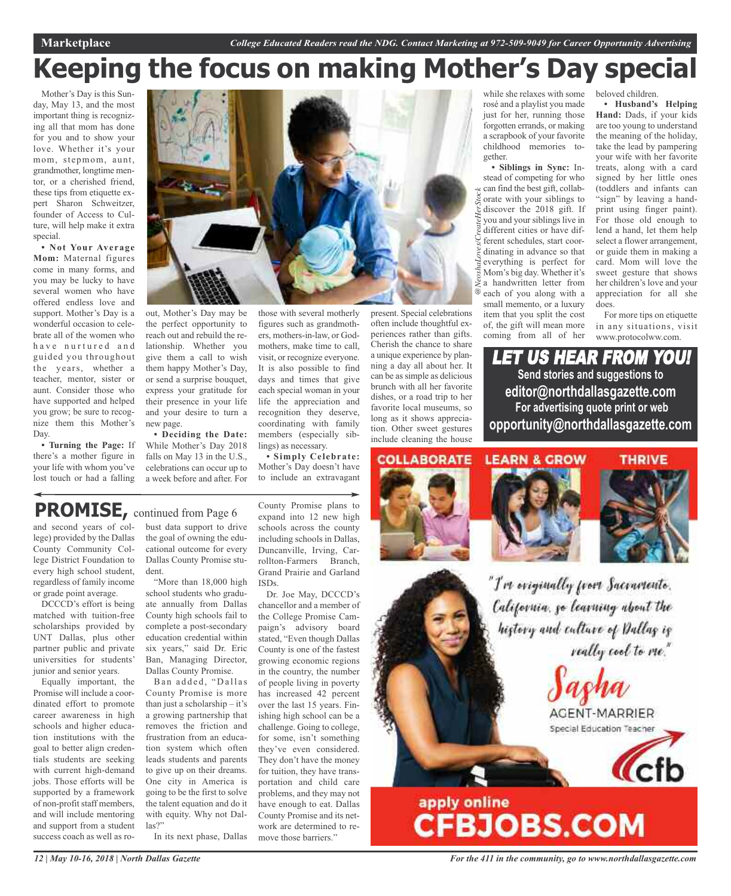# **Keeping the focus on making Mother's Day special**

Mother's Day is this Sunday, May 13, and the most important thing is recognizing all that mom has done for you and to show your love. Whether it's your mom, stepmom, aunt, grandmother, longtime mentor, or a cherished friend, these tips from etiquette expert Sharon Schweitzer, founder of Access to Culture, will help make it extra special.

**• Not Your Average Mom:** Maternal figures come in many forms, and you may be lucky to have several women who have offered endless love and support. Mother's Day is a wonderful occasion to celebrate all of the women who have nurtured and guided you throughout the years, whether a teacher, mentor, sister or aunt. Consider those who have supported and helped you grow; be sure to recognize them this Mother's Day.

**• Turning the Page:** If there's a mother figure in your life with whom you've lost touch or had a falling



out, Mother's Day may be the perfect opportunity to reach out and rebuild the relationship. Whether you give them a call to wish them happy Mother's Day, or send a surprise bouquet, express your gratitude for their presence in your life and your desire to turn a new page.

**• Deciding the Date:** While Mother's Day 2018 falls on May 13 in the U.S., celebrations can occur up to a week before and after. For those with several motherly figures such as grandmothers, mothers-in-law, or Godmothers, make time to call, visit, or recognize everyone. It is also possible to find days and times that give each special woman in your life the appreciation and recognition they deserve, coordinating with family members (especially siblings) as necessary.

**• Simply Celebrate:** Mother's Day doesn't have to include an extravagant present. Special celebrations often include thoughtful experiences rather than gifts. Cherish the chance to share a unique experience by planning a day all about her. It can be as simple as delicious brunch with all her favorite dishes, or a road trip to her favorite local museums, so long as it shows appreciation. Other sweet gestures include cleaning the house while she relaxes with some rosé and a playlist you made just for her, running those forgotten errands, or making a scrapbook of your favorite childhood memories together.

**• Siblings in Sync:** Instead of competing for who  $\approx$  can find the best gift, collab- $\frac{5}{6}$  orate with your siblings to discover the 2018 gift. If you and your siblings live in different cities or have different schedules, start coordinating in advance so that everything is perfect for Mom's big day. Whether it's a handwritten letter from each of you along with a small memento, or a luxury item that you split the cost of, the gift will mean more coming from all of her *@NeoshaLoves/CreateHerStock*

beloved children.

**• Husband's Helping Hand:** Dads, if your kids are too young to understand the meaning of the holiday, take the lead by pampering your wife with her favorite treats, along with a card signed by her little ones (toddlers and infants can "sign" by leaving a handprint using finger paint). For those old enough to lend a hand, let them help select a flower arrangement, or guide them in making a card. Mom will love the sweet gesture that shows her children's love and your appreciation for all she does.

For more tips on etiquette in any situations, visit www.protocolww.com.

LET US HEAR FROM YOU! **Send stories and suggestions to editor@northdallasgazette.com For advertising quote print or web opportunity@northdallasgazette.com**

**COLLABORATE** 







"I've eviginally from Sacramente. California, go learning about the history and culture of Dallag is really cool to me."



# apply online<br>CFBJOBS.COM

### **PROMISE,** continued from Page <sup>6</sup>

and second years of college) provided by the Dallas County Community College District Foundation to every high school student, regardless of family income or grade point average.

DCCCD's effort is being matched with tuition-free scholarships provided by UNT Dallas, plus other partner public and private universities for students' junior and senior years.

Equally important, the Promise will include a coordinated effort to promote career awareness in high schools and higher education institutions with the goal to better align credentials students are seeking with current high-demand jobs. Those efforts will be supported by a framework of non-profit staff members, and will include mentoring and support from a student success coach as well as ro-

bust data support to drive the goal of owning the educational outcome for every Dallas County Promise student.

"More than 18,000 high school students who graduate annually from Dallas County high schools fail to complete a post-secondary education credential within six years," said Dr. Eric Ban, Managing Director, Dallas County Promise.

Ban added, "Dallas County Promise is more than just a scholarship – it's a growing partnership that removes the friction and frustration from an education system which often leads students and parents to give up on their dreams. One city in America is going to be the first to solve the talent equation and do it with equity. Why not Dallas?"

In its next phase, Dallas

County Promise plans to expand into 12 new high schools across the county including schools in Dallas, Duncanville, Irving, Carrollton-Farmers Branch, Grand Prairie and Garland ISDs.

Dr. Joe May, DCCCD's chancellor and a member of the College Promise Campaign's advisory board stated, "Even though Dallas County is one of the fastest growing economic regions in the country, the number of people living in poverty has increased 42 percent over the last 15 years. Finishing high school can be a challenge. Going to college, for some, isn't something they've even considered. They don't have the money for tuition, they have transportation and child care problems, and they may not have enough to eat. Dallas County Promise and its network are determined to remove those barriers.'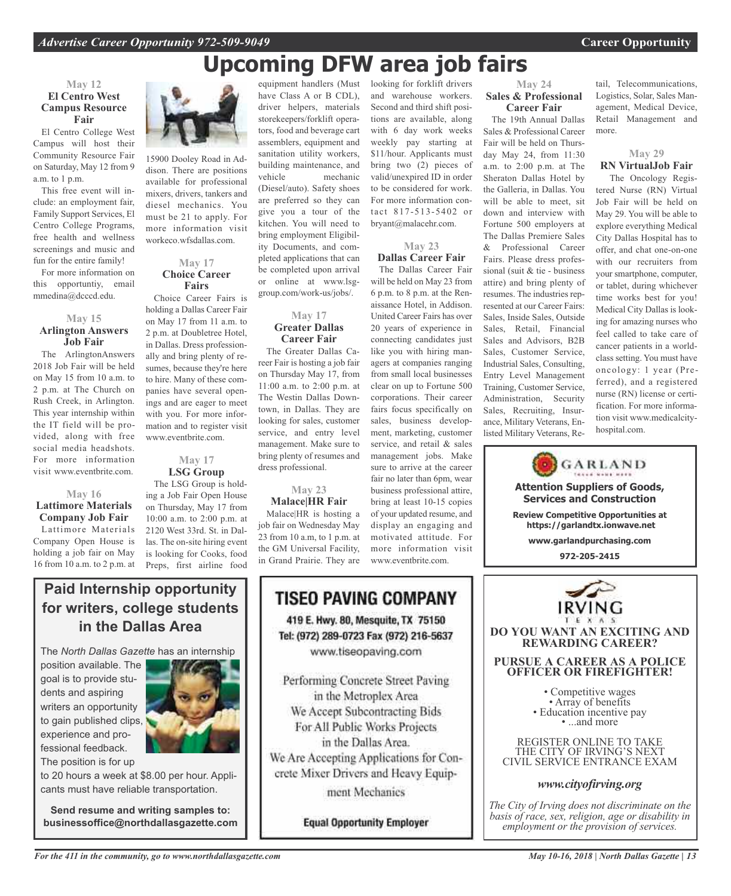## **Upcoming DFW area job fairs**

looking for forklift drivers and warehouse workers. Second and third shift positions are available, along with 6 day work weeks weekly pay starting at \$11/hour. Applicants must bring two (2) pieces of valid/unexpired ID in order to be considered for work. For more information contact 817-513-5402 or bryant@malacehr.com.

**May 23 Dallas Career Fair** The Dallas Career Fair will be held on May 23 from 6 p.m. to 8 p.m. at the Renaissance Hotel, in Addison. United Career Fairs has over 20 years of experience in connecting candidates just like you with hiring managers at companies ranging from small local businesses clear on up to Fortune 500 corporations. Their career fairs focus specifically on sales, business development, marketing, customer service, and retail & sales management jobs. Make sure to arrive at the career fair no later than 6pm, wear business professional attire, bring at least 10-15 copies of your updated resume, and display an engaging and motivated attitude. For more information visit www.eventbrite.com.

### **May 12 El Centro West Campus Resource Fair**

El Centro College West Campus will host their Community Resource Fair on Saturday, May 12 from 9 a.m. to 1 p.m.

This free event will include: an employment fair, Family Support Services, El Centro College Programs, free health and wellness screenings and music and fun for the entire family!

For more information on this opportuntiy, email mmedina@dcccd.edu.

### **May 15 Arlington Answers Job Fair**

The ArlingtonAnswers 2018 Job Fair will be held on May 15 from 10 a.m. to 2 p.m. at The Church on Rush Creek, in Arlington. This year internship within the IT field will be provided, along with free social media headshots. For more information visit www.eventbrite.com.

### **May 16 Lattimore Materials Company Job Fair** Lattimore Materials

Company Open House is holding a job fair on May 16 from 10 a.m. to 2 p.m. at



15900 Dooley Road in Addison. There are positions available for professional mixers, drivers, tankers and diesel mechanics. You must be 21 to apply. For more information visit workeco.wfsdallas.com.

### **May 17 Choice Career Fairs**

Choice Career Fairs is holding a Dallas Career Fair on May 17 from 11 a.m. to 2 p.m. at Doubletree Hotel, in Dallas. Dress professionally and bring plenty of resumes, because they're here to hire. Many of these companies have several openings and are eager to meet with you. For more information and to register visit www.eventbrite.com.

### **May 17 LSG Group**

The LSG Group is holding a Job Fair Open House on Thursday, May 17 from 10:00 a.m. to 2:00 p.m. at 2120 West 33rd. St. in Dallas. The on-site hiring event is looking for Cooks, food Preps, first airline food

### have Class A or B CDL), driver helpers, materials storekeepers/forklift operators, food and beverage cart assemblers, equipment and sanitation utility workers, building maintenance, and vehicle mechanic (Diesel/auto). Safety shoes are preferred so they can give you a tour of the kitchen. You will need to bring employment Eligibility Documents, and completed applications that can be completed upon arrival or online at www.lsggroup.com/work-us/jobs/.

equipment handlers (Must

### **May 17 Greater Dallas Career Fair**

The Greater Dallas Career Fair is hosting a job fair on Thursday May 17, from 11:00 a.m. to 2:00 p.m. at The Westin Dallas Downtown, in Dallas. They are looking for sales, customer service, and entry level management. Make sure to bring plenty of resumes and dress professional.

### **May 23 Malace|HR Fair**

Malace|HR is hosting a job fair on Wednesday May 23 from 10 a.m, to 1 p.m. at the GM Universal Facility, in Grand Prairie. They are

### TISEO PAVING COMPANY 419 E. Hwy. 80, Mesquite, TX 75150 Tel: (972) 289-0723 Fax (972) 216-5637 www.tiseopaving.com Performing Concrete Street Paving in the Metroplex Area We Accept Subcontracting Bids For All Public Works Projects in the Dallas Area. We Are Accepting Applications for Concrete Mixer Drivers and Heavy Equipment Mechanics

**Equal Opportunity Employer** 

#### **May 24 Sales & Professional Career Fair**

The 19th Annual Dallas Sales & Professional Career Fair will be held on Thursday May 24, from 11:30 a.m. to 2:00 p.m. at The Sheraton Dallas Hotel by the Galleria, in Dallas. You will be able to meet, sit down and interview with Fortune 500 employers at The Dallas Premiere Sales & Professional Career Fairs. Please dress professional (suit & tie - business attire) and bring plenty of resumes. The industries represented at our Career Fairs: Sales, Inside Sales, Outside Sales, Retail, Financial Sales and Advisors, B2B Sales, Customer Service, Industrial Sales, Consulting, Entry Level Management Training, Customer Service, Administration, Security Sales, Recruiting, Insurance, Military Veterans, Enlisted Military Veterans, Re-

tail, Telecommunications, Logistics, Solar, Sales Management, Medical Device, Retail Management and more.

### **May 29**

### **RN VirtualJob Fair**

The Oncology Registered Nurse (RN) Virtual Job Fair will be held on May 29. You will be able to explore everything Medical City Dallas Hospital has to offer, and chat one-on-one with our recruiters from your smartphone, computer, or tablet, during whichever time works best for you! Medical City Dallas is looking for amazing nurses who feel called to take care of cancer patients in a worldclass setting. You must have oncology: 1 year (Preferred), and a registered nurse (RN) license or certification. For more information visit www.medicalcityhospital.com.





**Paid Internship opportunity for writers, college students in the Dallas Area**

The *North Dallas Gazette* has an internship

position available. The goal is to provide students and aspiring writers an opportunity to gain published clips, experience and professional feedback.



The position is for up

to 20 hours a week at \$8.00 per hour. Applicants must have reliable transportation.

**Send resume and writing samples to: businessoffice@northdallasgazette.com**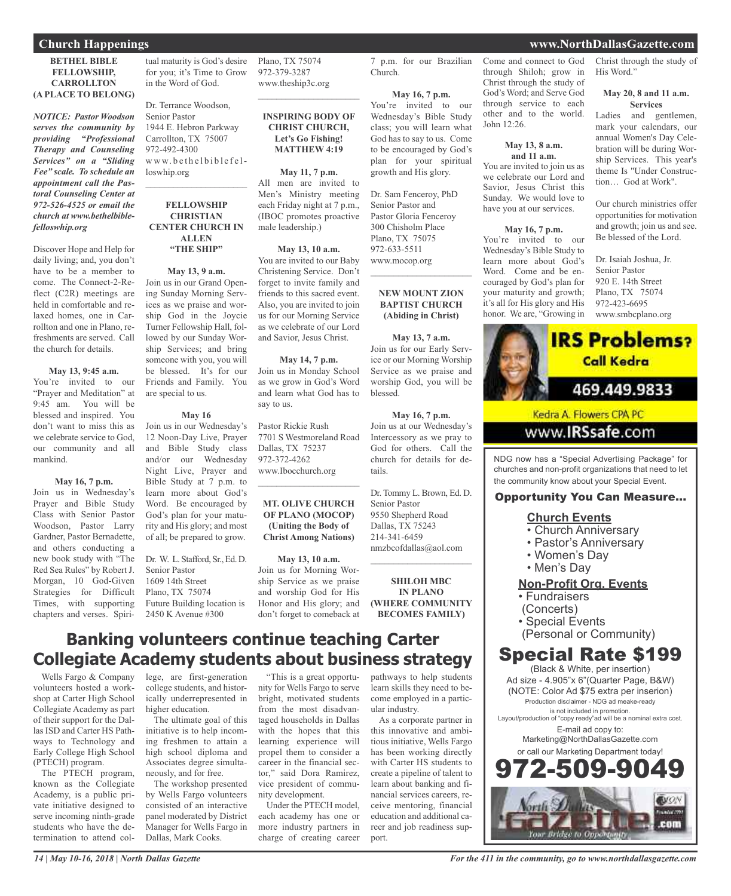### **Church Happenings www.NorthDallasGazette.com**

### **BETHEL BIBLE FELLOWSHIP, CARROLLTON (A PLACE TO BELONG)**

*NOTICE: Pastor Woodson serves the community by providing "Professional Therapy and Counseling Services" on a "Sliding Fee" scale. To schedule an appointment call the Pastoral Counseling Center at 972-526-4525 or email the church at www.bethelbiblefelloswhip.org*

Discover Hope and Help for daily living; and, you don't have to be a member to come. The Connect-2-Reflect (C2R) meetings are held in comfortable and relaxed homes, one in Carrollton and one in Plano, refreshments are served. Call the church for details.

#### **May 13, 9:45 a.m.**

You're invited to our "Prayer and Meditation" at 9:45 am. You will be blessed and inspired. You don't want to miss this as we celebrate service to God, our community and all mankind.

#### **May 16, 7 p.m.**

Join us in Wednesday's Prayer and Bible Study Class with Senior Pastor Woodson, Pastor Larry Gardner, Pastor Bernadette, and others conducting a new book study with "The Red Sea Rules" by Robert J. Morgan, 10 God-Given Strategies for Difficult Times, with supporting chapters and verses. Spiritual maturity is God's desire for you; it's Time to Grow in the Word of God.

Dr. Terrance Woodson, Senior Pastor 1944 E. Hebron Parkway Carrollton, TX 75007 972-492-4300 www.bethelbiblefelloswhip.org

### **FELLOWSHIP CHRISTIAN CENTER CHURCH IN ALLEN "THE SHIP"**

 $\mathcal{L}_\text{max}$  , which is a set of the set of the set of the set of the set of the set of the set of the set of the set of the set of the set of the set of the set of the set of the set of the set of the set of the set of

**May 13, 9 a.m.** Join us in our Grand Opening Sunday Morning Services as we praise and worship God in the Joycie Turner Fellowship Hall, followed by our Sunday Worship Services; and bring someone with you, you will be blessed. It's for our Friends and Family. You are special to us.

#### **May 16**

Join us in our Wednesday's 12 Noon-Day Live, Prayer and Bible Study class and/or our Wednesday Night Live, Prayer and Bible Study at 7 p.m. to learn more about God's Word. Be encouraged by God's plan for your maturity and His glory; and most of all; be prepared to grow.

Dr. W. L. Stafford, Sr., Ed. D. Senior Pastor 1609 14th Street Plano, TX 75074 Future Building location is 2450 K Avenue #300

Plano, TX 75074 972-379-3287 www.theship3c.org

### **INSPIRING BODY OF CHRIST CHURCH, Let's Go Fishing! MATTHEW 4:19**

 $\mathcal{L}_\text{max}$  , which is a set of the set of the set of the set of the set of the set of the set of the set of the set of the set of the set of the set of the set of the set of the set of the set of the set of the set of

**May 11, 7 p.m.** All men are invited to Men's Ministry meeting each Friday night at 7 p.m., (IBOC promotes proactive male leadership.)

#### **May 13, 10 a.m.**

You are invited to our Baby Christening Service. Don't forget to invite family and friends to this sacred event. Also, you are invited to join us for our Morning Service as we celebrate of our Lord and Savior, Jesus Christ.

**May 14, 7 p.m.** Join us in Monday School as we grow in God's Word and learn what God has to say to us.

Pastor Rickie Rush 7701 S Westmoreland Road Dallas, TX 75237 972-372-4262 www.Ibocchurch.org

### **MT. OLIVE CHURCH OF PLANO (MOCOP) (Uniting the Body of Christ Among Nations)**

 $\mathcal{L}_\text{max}$  , which is a set of the set of the set of the set of the set of the set of the set of the set of the set of the set of the set of the set of the set of the set of the set of the set of the set of the set of

#### **May 13, 10 a.m.**

Join us for Morning Worship Service as we praise and worship God for His Honor and His glory; and don't forget to comeback at

"This is a great opportunity for Wells Fargo to serve bright, motivated students from the most disadvantaged households in Dallas with the hopes that this learning experience will propel them to consider a career in the financial sector," said Dora Ramirez, vice president of commu-

nity development.

Under the PTECH model, each academy has one or more industry partners in charge of creating career

7 p.m. for our Brazilian Church.

**May 16, 7 p.m.** You're invited to our Wednesday's Bible Study class; you will learn what God has to say to us. Come to be encouraged by God's plan for your spiritual growth and His glory.

Dr. Sam Fenceroy, PhD Senior Pastor and Pastor Gloria Fenceroy 300 Chisholm Place Plano, TX 75075 972-633-5511 www.mocop.org

#### **NEW MOUNT ZION BAPTIST CHURCH (Abiding in Christ)**

 $\overline{\phantom{a}}$  , which is a set of the set of the set of the set of the set of the set of the set of the set of the set of the set of the set of the set of the set of the set of the set of the set of the set of the set of th

**May 13, 7 a.m.** Join us for our Early Service or our Morning Worship Service as we praise and worship God, you will be blessed.

**May 16, 7 p.m.** Join us at our Wednesday's Intercessory as we pray to God for others. Call the church for details for details.

Dr. Tommy L. Brown, Ed. D. Senior Pastor 9550 Shepherd Road Dallas, TX 75243 214-341-6459 nmzbcofdallas@aol.com

**SHILOH MBC IN PLANO (WHERE COMMUNITY BECOMES FAMILY)**

 $\overline{\phantom{a}}$  , which is a set of the set of the set of the set of the set of the set of the set of the set of the set of the set of the set of the set of the set of the set of the set of the set of the set of the set of th

### **Banking volunteers continue teaching Carter Collegiate Academy students about business strategy**

Wells Fargo & Company volunteers hosted a workshop at Carter High School Collegiate Academy as part of their support for the Dallas ISD and Carter HS Pathways to Technology and Early College High School (PTECH) program.

The PTECH program, known as the Collegiate Academy, is a public private initiative designed to serve incoming ninth-grade students who have the determination to attend col-

lege, are first-generation college students, and historically underrepresented in higher education.

The ultimate goal of this initiative is to help incoming freshmen to attain a high school diploma and Associates degree simultaneously, and for free.

The workshop presented by Wells Fargo volunteers consisted of an interactive panel moderated by District Manager for Wells Fargo in Dallas, Mark Cooks.

pathways to help students learn skills they need to become employed in a particular industry.

As a corporate partner in this innovative and ambitious initiative, Wells Fargo has been working directly with Carter HS students to create a pipeline of talent to learn about banking and financial services careers, receive mentoring, financial education and additional career and job readiness support.

Come and connect to God through Shiloh; grow in Christ through the study of God's Word; and Serve God through service to each other and to the world. John  $12:26$ .

#### **May 13, 8 a.m. and 11 a.m.**

You are invited to join us as we celebrate our Lord and Savior, Jesus Christ this Sunday. We would love to have you at our services.

#### **May 16, 7 p.m.**

You're invited to our Wednesday's Bible Study to learn more about God's Word. Come and be encouraged by God's plan for your maturity and growth; it's all for His glory and His honor. We are, "Growing in Christ through the study of His Word."

#### **May 20, 8 and 11 a.m. Services**

Ladies and gentlemen, mark your calendars, our annual Women's Day Celebration will be during Worship Services. This year's theme Is "Under Construction… God at Work".

Our church ministries offer opportunities for motivation and growth; join us and see. Be blessed of the Lord.

Dr. Isaiah Joshua, Jr. Senior Pastor 920 E. 14th Street Plano, TX 75074 972-423-6695 www.smbcplano.org



www.IRSsafe.com

NDG now has a "Special Advertising Package" for churches and non-profit organizations that need to let the community know about your Special Event.

### Opportunity You Can Measure...

### **Church Events**

- Church Anniversary
- Pastor's Anniversary
- Women's Day
- Men's Day

### **Non-Profit Org. Events**

• Fundraisers

(Concerts)

- Special Events
- (Personal or Community)

### Special Rate \$199

(Black & White, per insertion) Ad size - 4.905"x 6"(Quarter Page, B&W) (NOTE: Color Ad \$75 extra per inserion) Production disclaimer - NDG ad meake-ready is not included in promotion.

Layout/production of "copy ready"ad will be a nominal extra cost.

E-mail ad copy to: Marketing@NorthDallasGazette.com or call our Marketing Department today!

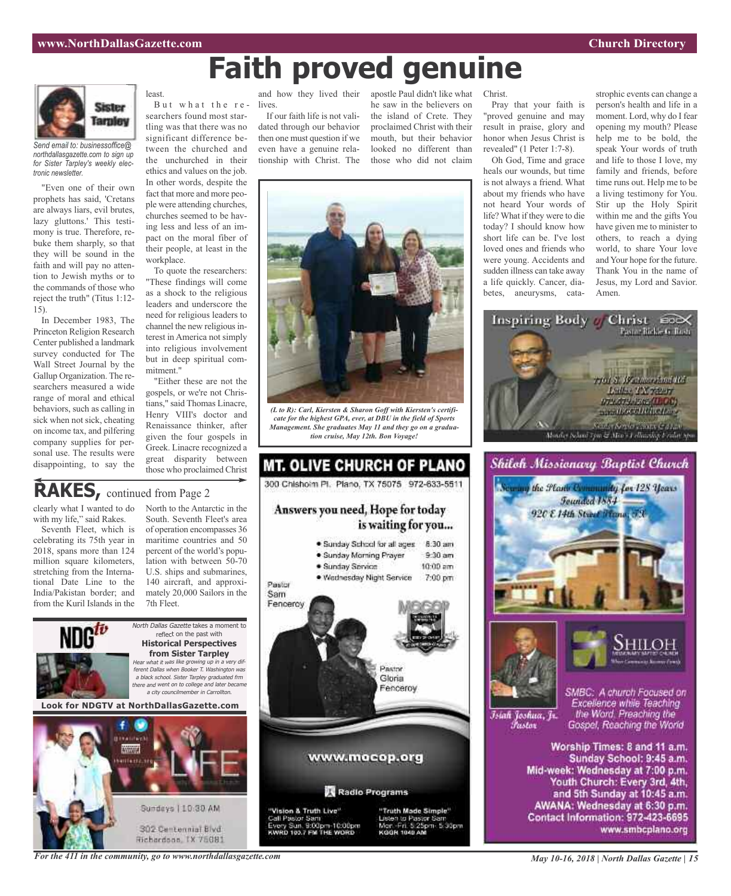# **Faith proved genuine**



*Send email to: businessoffice@ northdallasgazette.com to sign up for Sister Tarpley's weekly electronic newsletter.*

"Even one of their own prophets has said, 'Cretans are always liars, evil brutes, lazy gluttons.' This testimony is true. Therefore, rebuke them sharply, so that they will be sound in the faith and will pay no attention to Jewish myths or to the commands of those who reject the truth" (Titus 1:12- 15).

In December 1983, The Princeton Religion Research Center published a landmark survey conducted for The Wall Street Journal by the Gallup Organization. The researchers measured a wide range of moral and ethical behaviors, such as calling in sick when not sick, cheating on income tax, and pilfering company supplies for personal use. The results were disappointing, to say the



workplace.

mitment."

searchers found most startling was that there was no significant difference between the churched and the unchurched in their ethics and values on the job. In other words, despite the fact that more and more people were attending churches, churches seemed to be having less and less of an impact on the moral fiber of their people, at least in the

To quote the researchers: "These findings will come as a shock to the religious leaders and underscore the need for religious leaders to channel the new religious interest in America not simply into religious involvement but in deep spiritual com-

"Either these are not the gospels, or we're not Christians," said Thomas Linacre, Henry VIII's doctor and Renaissance thinker, after given the four gospels in Greek. Linacre recognized a great disparity between those who proclaimed Christ

But what the reand how they lived their lives.

> If our faith life is not validated through our behavior then one must question if we even have a genuine relationship with Christ. The

apostle Paul didn't like what he saw in the believers on the island of Crete. They proclaimed Christ with their mouth, but their behavior looked no different than those who did not claim



Pray that your faith is "proved genuine and may result in praise, glory and honor when Jesus Christ is revealed" (1 Peter 1:7-8).

Oh God, Time and grace heals our wounds, but time is not always a friend. What about my friends who have not heard Your words of life? What if they were to die today? I should know how short life can be. I've lost loved ones and friends who were young. Accidents and sudden illness can take away a life quickly. Cancer, diabetes, aneurysms, cata-

strophic events can change a person's health and life in a moment. Lord, why do I fear opening my mouth? Please help me to be bold, the speak Your words of truth and life to those I love, my family and friends, before time runs out. Help me to be a living testimony for You. Stir up the Holy Spirit within me and the gifts You have given me to minister to others, to reach a dying world, to share Your love and Your hope for the future. Thank You in the name of Jesus, my Lord and Savior. Amen.





Mid-week: Wednesday at 7:00 p.m. Youth Church: Every 3rd, 4th, and 5th Sunday at 10:45 a.m. AWANA: Wednesday at 6:30 p.m. Contact Information: 972-423-6695 www.smbcplano.org



*(L to R): Carl, Kiersten & Sharon Goff with Kiersten's certificate for the highest GPA, ever, at DBU in the field of Sports Management. She graduates May 11 and they go on a graduation cruise, May 12th. Bon Voyage!*

MT. OLIVE CHURCH OF PLANO 300 Chishoim Pl. Plano, TX 75075 972-633-5511

### **RAKES,** continued from Page <sup>2</sup>

clearly what I wanted to do with my life," said Rakes.

Seventh Fleet, which is celebrating its 75th year in 2018, spans more than 124 million square kilometers, stretching from the International Date Line to the India/Pakistan border; and from the Kuril Islands in the

North to the Antarctic in the South. Seventh Fleet's area of operation encompasses 36 maritime countries and 50 percent of the world's population with between 50-70 U.S. ships and submarines, 140 aircraft, and approximately 20,000 Sailors in the 7th Fleet.



302 Centennial Blvd Richardson, TX 75081 Answers you need, Hope for today is waiting for you... . Sunday School for all ages 8:30 am · Sunday Morning Prayer  $9:30$  am · Sunday Service  $10:00$  am · Wednesday Night Service 7:00 pm